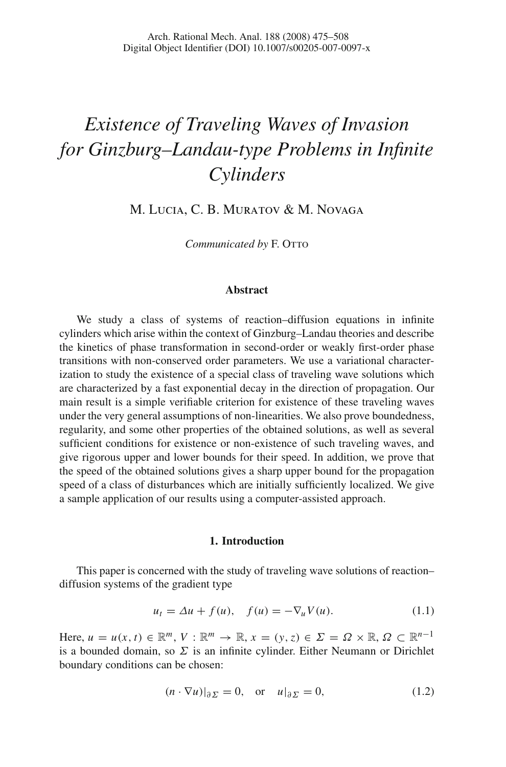# *Existence of Traveling Waves of Invasion for Ginzburg–Landau-type Problems in Infinite Cylinders*

M. Lucia, C. B. Muratov & M. Novaga

*Communicated by* F. OTTO

## **Abstract**

We study a class of systems of reaction–diffusion equations in infinite cylinders which arise within the context of Ginzburg–Landau theories and describe the kinetics of phase transformation in second-order or weakly first-order phase transitions with non-conserved order parameters. We use a variational characterization to study the existence of a special class of traveling wave solutions which are characterized by a fast exponential decay in the direction of propagation. Our main result is a simple verifiable criterion for existence of these traveling waves under the very general assumptions of non-linearities. We also prove boundedness, regularity, and some other properties of the obtained solutions, as well as several sufficient conditions for existence or non-existence of such traveling waves, and give rigorous upper and lower bounds for their speed. In addition, we prove that the speed of the obtained solutions gives a sharp upper bound for the propagation speed of a class of disturbances which are initially sufficiently localized. We give a sample application of our results using a computer-assisted approach.

#### **1. Introduction**

This paper is concerned with the study of traveling wave solutions of reaction– diffusion systems of the gradient type

$$
u_t = \Delta u + f(u), \quad f(u) = -\nabla_u V(u). \tag{1.1}
$$

<span id="page-0-1"></span><span id="page-0-0"></span>Here,  $u = u(x, t) \in \mathbb{R}^m$ ,  $V : \mathbb{R}^m \to \mathbb{R}$ ,  $x = (y, z) \in \Sigma = \Omega \times \mathbb{R}$ ,  $\Omega \subset \mathbb{R}^{n-1}$ is a bounded domain, so  $\Sigma$  is an infinite cylinder. Either Neumann or Dirichlet boundary conditions can be chosen:

$$
(n \cdot \nabla u)|_{\partial \Sigma} = 0, \quad \text{or} \quad u|_{\partial \Sigma} = 0,
$$
 (1.2)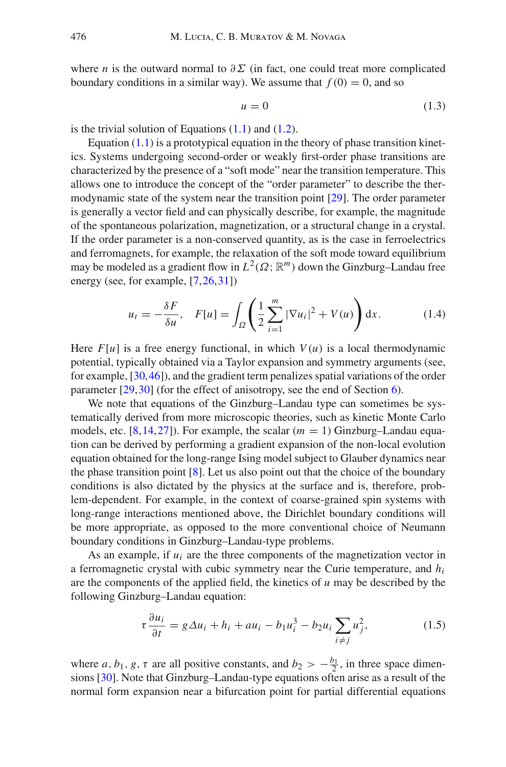where *n* is the outward normal to  $\partial \Sigma$  (in fact, one could treat more complicated boundary conditions in a similar way). We assume that  $f(0) = 0$ , and so

$$
u = 0 \tag{1.3}
$$

is the trivial solution of Equations  $(1.1)$  and  $(1.2)$ .

Equation  $(1.1)$  is a prototypical equation in the theory of phase transition kinetics. Systems undergoing second-order or weakly first-order phase transitions are characterized by the presence of a "soft mode" near the transition temperature. This allows one to introduce the concept of the "order parameter" to describe the thermodynamic state of the system near the transition point [\[29\]](#page-32-0). The order parameter is generally a vector field and can physically describe, for example, the magnitude of the spontaneous polarization, magnetization, or a structural change in a crystal. If the order parameter is a non-conserved quantity, as is the case in ferroelectrics and ferromagnets, for example, the relaxation of the soft mode toward equilibrium may be modeled as a gradient flow in  $L^2(\Omega; \mathbb{R}^m)$  down the Ginzburg–Landau free energy (see, for example, [\[7](#page-32-1)[,26](#page-32-2)[,31](#page-32-3)])

$$
u_t = -\frac{\delta F}{\delta u}, \quad F[u] = \int_{\Omega} \left( \frac{1}{2} \sum_{i=1}^m |\nabla u_i|^2 + V(u) \right) dx. \tag{1.4}
$$

<span id="page-1-0"></span>Here  $F[u]$  is a free energy functional, in which  $V(u)$  is a local thermodynamic potential, typically obtained via a Taylor expansion and symmetry arguments (see, for example, [\[30](#page-32-4)[,46](#page-33-0)]), and the gradient term penalizes spatial variations of the order parameter [\[29](#page-32-0)[,30](#page-32-4)] (for the effect of anisotropy, see the end of Section [6\)](#page-20-0).

We note that equations of the Ginzburg–Landau type can sometimes be systematically derived from more microscopic theories, such as kinetic Monte Carlo models, etc.  $[8, 14, 27]$  $[8, 14, 27]$  $[8, 14, 27]$  $[8, 14, 27]$  $[8, 14, 27]$ ). For example, the scalar  $(m = 1)$  Ginzburg–Landau equation can be derived by performing a gradient expansion of the non-local evolution equation obtained for the long-range Ising model subject to Glauber dynamics near the phase transition point  $[8]$  $[8]$ . Let us also point out that the choice of the boundary conditions is also dictated by the physics at the surface and is, therefore, problem-dependent. For example, in the context of coarse-grained spin systems with long-range interactions mentioned above, the Dirichlet boundary conditions will be more appropriate, as opposed to the more conventional choice of Neumann boundary conditions in Ginzburg–Landau-type problems.

As an example, if *ui* are the three components of the magnetization vector in a ferromagnetic crystal with cubic symmetry near the Curie temperature, and *hi* are the components of the applied field, the kinetics of  $u$  may be described by the following Ginzburg–Landau equation:

$$
\tau \frac{\partial u_i}{\partial t} = g \Delta u_i + h_i + au_i - b_1 u_i^3 - b_2 u_i \sum_{i \neq j} u_j^2, \tag{1.5}
$$

<span id="page-1-1"></span>where *a*, *b*<sub>1</sub>, *g*,  $\tau$  are all positive constants, and *b*<sub>2</sub> >  $-\frac{b_1}{2}$ , in three space dimensions [\[30](#page-32-4)]. Note that Ginzburg–Landau-type equations often arise as a result of the normal form expansion near a bifurcation point for partial differential equations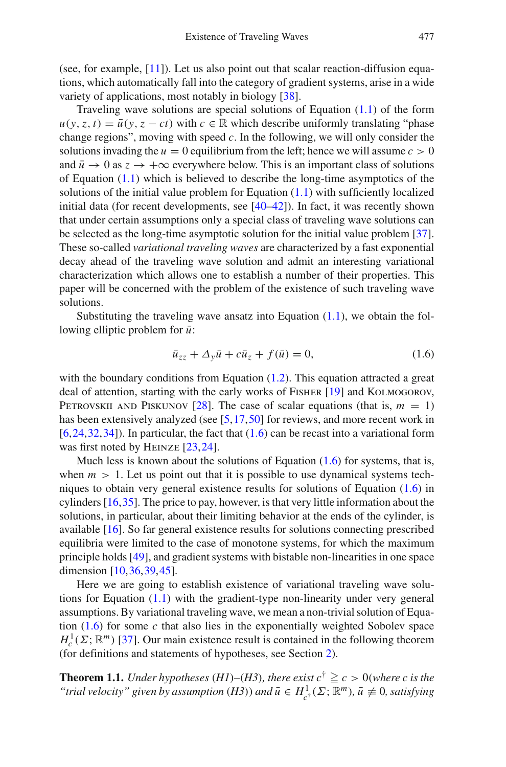(see, for example, [\[11\]](#page-32-8)). Let us also point out that scalar reaction-diffusion equations, which automatically fall into the category of gradient systems, arise in a wide variety of applications, most notably in biology [\[38](#page-33-1)].

Traveling wave solutions are special solutions of Equation [\(1.1\)](#page-0-0) of the form  $u(y, z, t) = \bar{u}(y, z - ct)$  with  $c \in \mathbb{R}$  which describe uniformly translating "phase" change regions", moving with speed *c*. In the following, we will only consider the solutions invading the  $u = 0$  equilibrium from the left; hence we will assume  $c > 0$ and  $\bar{u} \to 0$  as  $z \to +\infty$  everywhere below. This is an important class of solutions of Equation  $(1.1)$  which is believed to describe the long-time asymptotics of the solutions of the initial value problem for Equation  $(1.1)$  with sufficiently localized initial data (for recent developments, see [\[40](#page-33-2)[–42](#page-33-3)]). In fact, it was recently shown that under certain assumptions only a special class of traveling wave solutions can be selected as the long-time asymptotic solution for the initial value problem [\[37\]](#page-33-4). These so-called *variational traveling waves* are characterized by a fast exponential decay ahead of the traveling wave solution and admit an interesting variational characterization which allows one to establish a number of their properties. This paper will be concerned with the problem of the existence of such traveling wave solutions.

Substituting the traveling wave ansatz into Equation  $(1.1)$ , we obtain the following elliptic problem for  $\bar{u}$ :

$$
\bar{u}_{zz} + \Delta_y \bar{u} + c \bar{u}_z + f(\bar{u}) = 0,\tag{1.6}
$$

<span id="page-2-0"></span>with the boundary conditions from Equation  $(1.2)$ . This equation attracted a great deal of attention, starting with the early works of Fisher [\[19\]](#page-32-9) and Kolmogorov, PETROVSKII AND PISKUNOV [\[28](#page-32-10)]. The case of scalar equations (that is,  $m = 1$ ) has been extensively analyzed (see [\[5,](#page-31-0)[17](#page-32-11)[,50](#page-33-5)] for reviews, and more recent work in  $[6,24,32,34]$  $[6,24,32,34]$  $[6,24,32,34]$  $[6,24,32,34]$  $[6,24,32,34]$ ). In particular, the fact that  $(1.6)$  can be recast into a variational form was first noted by HEINZE [\[23](#page-32-14), 24].

Much less is known about the solutions of Equation  $(1.6)$  for systems, that is, when  $m > 1$ . Let us point out that it is possible to use dynamical systems techniques to obtain very general existence results for solutions of Equation [\(1.6\)](#page-2-0) in cylinders [\[16](#page-32-15)[,35](#page-33-7)]. The price to pay, however, is that very little information about the solutions, in particular, about their limiting behavior at the ends of the cylinder, is available [\[16\]](#page-32-15). So far general existence results for solutions connecting prescribed equilibria were limited to the case of monotone systems, for which the maximum principle holds [\[49\]](#page-33-8), and gradient systems with bistable non-linearities in one space dimension [\[10](#page-32-16)[,36](#page-33-9)[,39](#page-33-10),[45\]](#page-33-11).

Here we are going to establish existence of variational traveling wave solutions for Equation  $(1.1)$  with the gradient-type non-linearity under very general assumptions. By variational traveling wave, we mean a non-trivial solution of Equation [\(1.6\)](#page-2-0) for some *c* that also lies in the exponentially weighted Sobolev space  $H_c^1(\Sigma; \mathbb{R}^m)$  [\[37\]](#page-33-4). Our main existence result is contained in the following theorem (for definitions and statements of hypotheses, see Section [2\)](#page-4-0).

<span id="page-2-1"></span>**Theorem 1.1.** *Under hypotheses* (*H1*)–(*H3*)*, there exist*  $c^{\dagger} \ge c > 0$  (*where c is the "trial velocity" given by assumption* (*H3*)) and  $\bar{u} \in H^1_{c^{\dagger}}(\Sigma; \mathbb{R}^m)$ ,  $\bar{u} \not\equiv 0$ , satisfying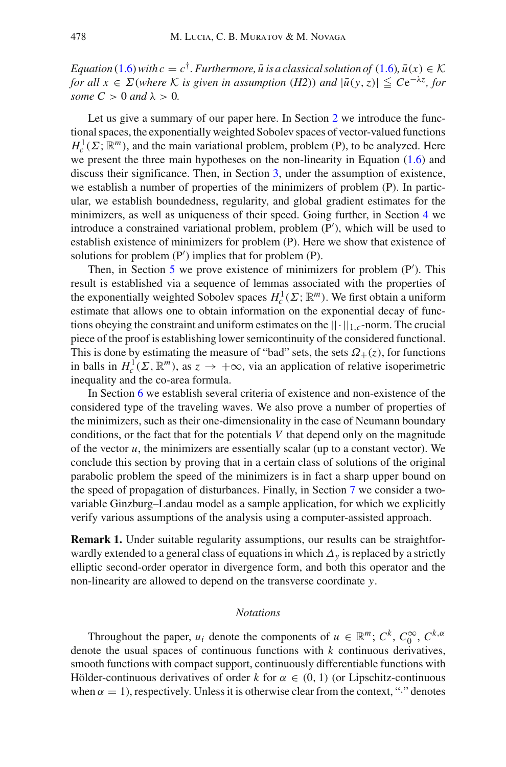*Equation* [\(1.6\)](#page-2-0) with  $c = c^{\dagger}$ . *Furthermore,*  $\bar{u}$  *is a classical solution of* (1.6),  $\bar{u}(x) \in \mathcal{K}$ *for all*  $x \in \Sigma$  *(where*  $K$  *is given in assumption (H2)) and*  $|\bar{u}(y, z)| \leq Ce^{-\lambda z}$ *, for some*  $C > 0$  *and*  $\lambda > 0$ *.* 

Let us give a summary of our paper here. In Section [2](#page-4-0) we introduce the functional spaces, the exponentially weighted Sobolev spaces of vector-valued functions  $H_c^1(\Sigma; \mathbb{R}^m)$ , and the main variational problem, problem (P), to be analyzed. Here we present the three main hypotheses on the non-linearity in Equation [\(1.6\)](#page-2-0) and discuss their significance. Then, in Section [3,](#page-8-0) under the assumption of existence, we establish a number of properties of the minimizers of problem (P). In particular, we establish boundedness, regularity, and global gradient estimates for the minimizers, as well as uniqueness of their speed. Going further, in Section [4](#page-12-0) we introduce a constrained variational problem, problem (P ), which will be used to establish existence of minimizers for problem (P). Here we show that existence of solutions for problem (P ) implies that for problem (P).

Then, in Section [5](#page-14-0) we prove existence of minimizers for problem (P'). This result is established via a sequence of lemmas associated with the properties of the exponentially weighted Sobolev spaces  $H_c^1(\Sigma; \mathbb{R}^m)$ . We first obtain a uniform estimate that allows one to obtain information on the exponential decay of functions obeying the constraint and uniform estimates on the  $|| \cdot ||_{1,c}$ -norm. The crucial piece of the proof is establishing lower semicontinuity of the considered functional. This is done by estimating the measure of "bad" sets, the sets  $\Omega_{+}(z)$ , for functions in balls in  $H_c^1(\Sigma, \mathbb{R}^m)$ , as  $z \to +\infty$ , via an application of relative isoperimetric inequality and the co-area formula.

In Section [6](#page-20-0) we establish several criteria of existence and non-existence of the considered type of the traveling waves. We also prove a number of properties of the minimizers, such as their one-dimensionality in the case of Neumann boundary conditions, or the fact that for the potentials *V* that depend only on the magnitude of the vector  $u$ , the minimizers are essentially scalar (up to a constant vector). We conclude this section by proving that in a certain class of solutions of the original parabolic problem the speed of the minimizers is in fact a sharp upper bound on the speed of propagation of disturbances. Finally, in Section [7](#page-28-0) we consider a twovariable Ginzburg–Landau model as a sample application, for which we explicitly verify various assumptions of the analysis using a computer-assisted approach.

**Remark 1.** Under suitable regularity assumptions, our results can be straightforwardly extended to a general class of equations in which ∆*y* is replaced by a strictly elliptic second-order operator in divergence form, and both this operator and the non-linearity are allowed to depend on the transverse coordinate *y*.

## *Notations*

Throughout the paper, *u<sub>i</sub>* denote the components of  $u \in \mathbb{R}^m$ ;  $C^k$ ,  $C_0^\infty$ ,  $C^{k,\alpha}$ denote the usual spaces of continuous functions with *k* continuous derivatives, smooth functions with compact support, continuously differentiable functions with Hölder-continuous derivatives of order  $k$  for  $\alpha \in (0, 1)$  (or Lipschitz-continuous when  $\alpha = 1$ ), respectively. Unless it is otherwise clear from the context, "<sup>\*\*</sup> denotes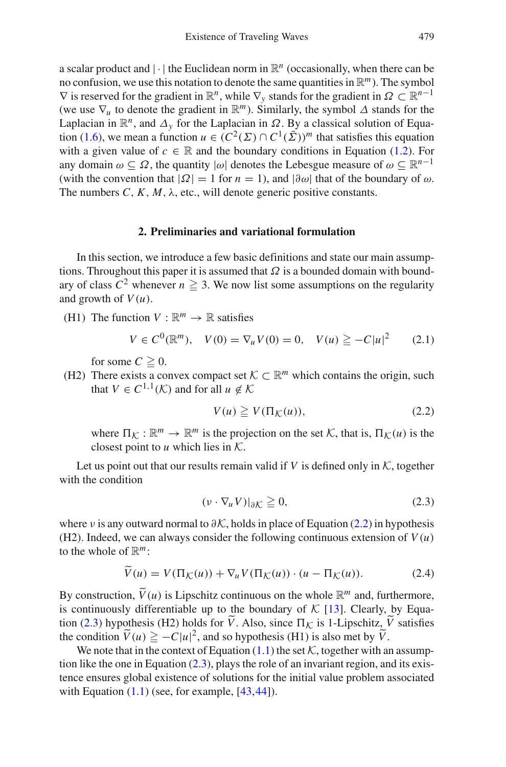a scalar product and  $|\cdot|$  the Euclidean norm in  $\mathbb{R}^n$  (occasionally, when there can be no confusion, we use this notation to denote the same quantities in R*m*). The symbol  $\nabla$  is reserved for the gradient in  $\mathbb{R}^n$ , while  $\nabla_\nu$  stands for the gradient in  $\Omega \subset \mathbb{R}^{n-1}$ (we use  $\nabla_u$  to denote the gradient in  $\mathbb{R}^m$ ). Similarly, the symbol  $\Delta$  stands for the Laplacian in  $\mathbb{R}^n$ , and  $\Delta_\nu$  for the Laplacian in  $\Omega$ . By a classical solution of Equa-tion [\(1.6\)](#page-2-0), we mean a function  $u \in (C^2(\Sigma) \cap C^1(\overline{\Sigma}))^m$  that satisfies this equation with a given value of  $c \in \mathbb{R}$  and the boundary conditions in Equation [\(1.2\)](#page-0-1). For any domain  $\omega \subset \Omega$ , the quantity  $|\omega|$  denotes the Lebesgue measure of  $\omega \subset \mathbb{R}^{n-1}$ (with the convention that  $|\Omega| = 1$  for  $n = 1$ ), and  $|\partial \omega|$  that of the boundary of  $\omega$ . The numbers  $C, K, M, \lambda$ , etc., will denote generic positive constants.

## **2. Preliminaries and variational formulation**

<span id="page-4-0"></span>In this section, we introduce a few basic definitions and state our main assumptions. Throughout this paper it is assumed that  $\Omega$  is a bounded domain with boundary of class  $C^2$  whenever  $n \geq 3$ . We now list some assumptions on the regularity and growth of  $V(u)$ .

(H1) The function  $V : \mathbb{R}^m \to \mathbb{R}$  satisfies

$$
V \in C^{0}(\mathbb{R}^{m}), \quad V(0) = \nabla_{u} V(0) = 0, \quad V(u) \geq -C|u|^{2} \tag{2.1}
$$

for some  $C \geq 0$ .

(H2) There exists a convex compact set  $K \subset \mathbb{R}^m$  which contains the origin, such that  $V \in C^{1,1}(\mathcal{K})$  and for all  $u \notin \mathcal{K}$ 

$$
V(u) \geq V(\Pi_{\mathcal{K}}(u)),\tag{2.2}
$$

<span id="page-4-1"></span>where  $\Pi_K : \mathbb{R}^m \to \mathbb{R}^m$  is the projection on the set  $K$ , that is,  $\Pi_K(u)$  is the closest point to *u* which lies in *K*.

Let us point out that our results remain valid if  $V$  is defined only in  $K$ , together with the condition

$$
(\nu \cdot \nabla_u V)|_{\partial K} \ge 0,\tag{2.3}
$$

<span id="page-4-2"></span>where *ν* is any outward normal to  $\partial K$ , holds in place of Equation [\(2.2\)](#page-4-1) in hypothesis (H2). Indeed, we can always consider the following continuous extension of  $V(u)$ to the whole of  $\mathbb{R}^m$ :

$$
\widetilde{V}(u) = V(\Pi_{\mathcal{K}}(u)) + \nabla_u V(\Pi_{\mathcal{K}}(u)) \cdot (u - \Pi_{\mathcal{K}}(u)). \tag{2.4}
$$

By construction,  $\widetilde{V}(u)$  is Lipschitz continuous on the whole  $\mathbb{R}^m$  and, furthermore, is continuously differentiable up to the boundary of  $K$  [\[13](#page-32-17)]. Clearly, by Equa-tion [\(2.3\)](#page-4-2) hypothesis (H2) holds for *V*. Also, since  $\Pi_K$  is 1-Lipschitz, *V* satisfies the condition  $\tilde{V}(u) \ge -C|u|^2$ , and so hypothesis (H1) is also met by  $\tilde{V}$ .

We note that in the context of Equation  $(1.1)$  the set  $K$ , together with an assumption like the one in Equation [\(2.3\)](#page-4-2), plays the role of an invariant region, and its existence ensures global existence of solutions for the initial value problem associated with Equation  $(1.1)$  (see, for example,  $[43, 44]$  $[43, 44]$ ).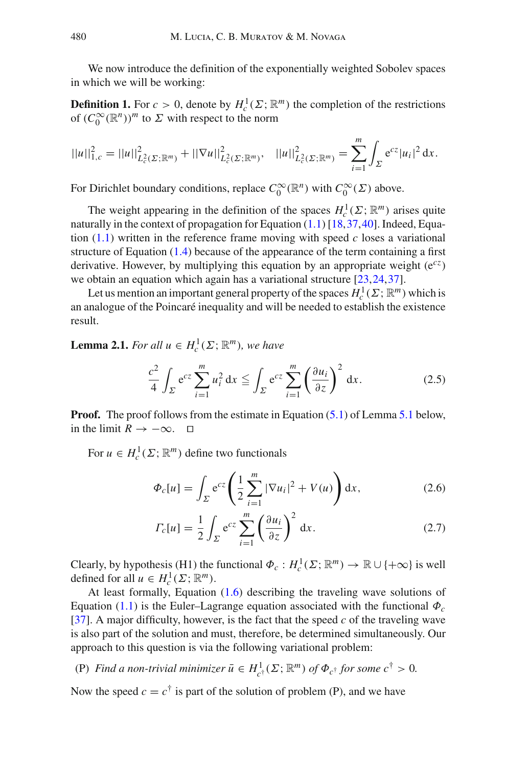We now introduce the definition of the exponentially weighted Sobolev spaces in which we will be working:

**Definition 1.** For  $c > 0$ , denote by  $H_c^1(\Sigma; \mathbb{R}^m)$  the completion of the restrictions of  $(C_0^{\infty}(\mathbb{R}^n))^m$  to  $\Sigma$  with respect to the norm

$$
||u||_{1,c}^2 = ||u||_{L_c^2(\Sigma; \mathbb{R}^m)}^2 + ||\nabla u||_{L_c^2(\Sigma; \mathbb{R}^m)}^2, \quad ||u||_{L_c^2(\Sigma; \mathbb{R}^m)}^2 = \sum_{i=1}^m \int_{\Sigma} e^{cz} |u_i|^2 dx.
$$

For Dirichlet boundary conditions, replace  $C_0^{\infty}(\mathbb{R}^n)$  with  $C_0^{\infty}(\Sigma)$  above.

The weight appearing in the definition of the spaces  $H_c^1(\Sigma; \mathbb{R}^m)$  arises quite naturally in the context of propagation for Equation  $(1.1)$  [\[18](#page-32-18)[,37](#page-33-4)[,40](#page-33-2)]. Indeed, Equation  $(1.1)$  written in the reference frame moving with speed *c* loses a variational structure of Equation [\(1.4\)](#page-1-0) because of the appearance of the term containing a first derivative. However, by multiplying this equation by an appropriate weight (e*cz*) we obtain an equation which again has a variational structure [\[23,](#page-32-14) [24](#page-32-12), 37].

Let us mention an important general property of the spaces  $H_c^1(\Sigma; \mathbb{R}^m)$  which is an analogue of the Poincaré inequality and will be needed to establish the existence result.

<span id="page-5-2"></span><span id="page-5-1"></span>**Lemma 2.1.** *For all*  $u \in H_c^1(\Sigma; \mathbb{R}^m)$ *, we have* 

$$
\frac{c^2}{4} \int_{\Sigma} e^{cz} \sum_{i=1}^{m} u_i^2 dx \le \int_{\Sigma} e^{cz} \sum_{i=1}^{m} \left(\frac{\partial u_i}{\partial z}\right)^2 dx.
$$
 (2.5)

**Proof.** The proof follows from the estimate in Equation [\(5.1\)](#page-15-0) of Lemma [5.1](#page-15-1) below, in the limit  $R \to -\infty$ . □

For  $u \in H_c^1(\Sigma; \mathbb{R}^m)$  define two functionals

$$
\Phi_c[u] = \int_{\Sigma} e^{cz} \left( \frac{1}{2} \sum_{i=1}^m |\nabla u_i|^2 + V(u) \right) dx, \tag{2.6}
$$

<span id="page-5-0"></span>
$$
\varGamma_c[u] = \frac{1}{2} \int_{\varSigma} e^{cz} \sum_{i=1}^m \left(\frac{\partial u_i}{\partial z}\right)^2 dx.
$$
\n(2.7)

Clearly, by hypothesis (H1) the functional  $\Phi_c: H_c^1(\Sigma; \mathbb{R}^m) \to \mathbb{R} \cup \{+\infty\}$  is well defined for all  $u \in H_c^1(\Sigma; \mathbb{R}^m)$ .

At least formally, Equation [\(1.6\)](#page-2-0) describing the traveling wave solutions of Equation [\(1.1\)](#page-0-0) is the Euler–Lagrange equation associated with the functional  $\Phi_c$ [\[37\]](#page-33-4). A major difficulty, however, is the fact that the speed *c* of the traveling wave is also part of the solution and must, therefore, be determined simultaneously. Our approach to this question is via the following variational problem:

(P) *Find a non-trivial minimizer*  $\bar{u} \in H^1_{c^{\dagger}}(\Sigma; \mathbb{R}^m)$  *of*  $\Phi_{c^{\dagger}}$  *for some*  $c^{\dagger} > 0$ *.* 

Now the speed  $c = c^{\dagger}$  is part of the solution of problem (P), and we have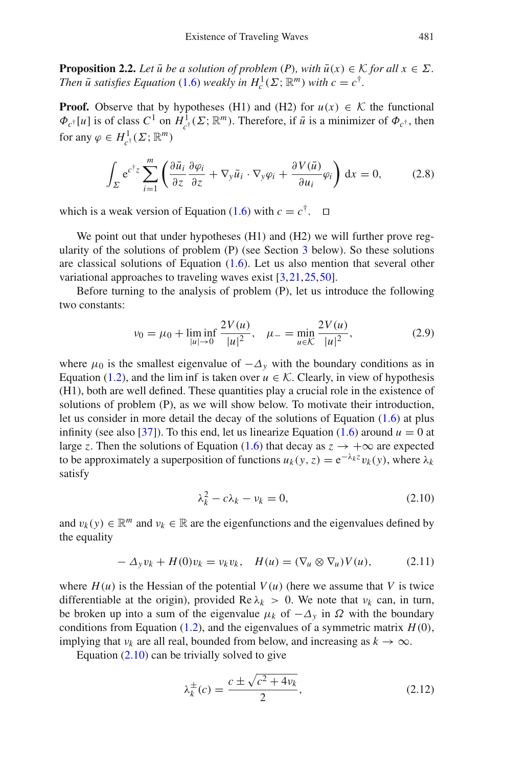**Proposition 2.2.** *Let*  $\bar{u}$  *be a solution of problem*  $(P)$ *, with*  $\bar{u}(x) \in \mathcal{K}$  *for all*  $x \in \Sigma$ *. Then*  $\bar{u}$  *satisfies Equation* [\(1.6\)](#page-2-0) *weakly in*  $H_c^1(\Sigma; \mathbb{R}^m)$  *with*  $c = c^{\dagger}$ .

**Proof.** Observe that by hypotheses (H1) and (H2) for  $u(x) \in K$  the functional  $\Phi_{c^{\dagger}}[u]$  is of class  $C^1$  on  $H^1_{c^{\dagger}}(\Sigma; \mathbb{R}^m)$ . Therefore, if  $\bar{u}$  is a minimizer of  $\Phi_{c^{\dagger}}$ , then for any  $\varphi \in H^1_{c^{\dagger}}(\Sigma; \mathbb{R}^m)$ 

$$
\int_{\Sigma} e^{c^{\dagger}z} \sum_{i=1}^{m} \left( \frac{\partial \bar{u}_i}{\partial z} \frac{\partial \varphi_i}{\partial z} + \nabla_y \bar{u}_i \cdot \nabla_y \varphi_i + \frac{\partial V(\bar{u})}{\partial u_i} \varphi_i \right) dx = 0, \quad (2.8)
$$

which is a weak version of Equation [\(1.6\)](#page-2-0) with  $c = c^{\dagger}$ .  $\Box$ 

We point out that under hypotheses (H1) and (H2) we will further prove regularity of the solutions of problem (P) (see Section [3](#page-8-0) below). So these solutions are classical solutions of Equation  $(1.6)$ . Let us also mention that several other variational approaches to traveling waves exist [\[3](#page-31-2)[,21](#page-32-19),[25,](#page-32-20)[50\]](#page-33-5).

Before turning to the analysis of problem (P), let us introduce the following two constants:

$$
\nu_0 = \mu_0 + \liminf_{|u| \to 0} \frac{2V(u)}{|u|^2}, \quad \mu_- = \min_{u \in \mathcal{K}} \frac{2V(u)}{|u|^2}, \tag{2.9}
$$

<span id="page-6-2"></span>where  $\mu_0$  is the smallest eigenvalue of  $-\Delta_\nu$  with the boundary conditions as in Equation [\(1.2\)](#page-0-1), and the lim inf is taken over  $u \in K$ . Clearly, in view of hypothesis (H1), both are well defined. These quantities play a crucial role in the existence of solutions of problem (P), as we will show below. To motivate their introduction, let us consider in more detail the decay of the solutions of Equation [\(1.6\)](#page-2-0) at plus infinity (see also [\[37](#page-33-4)]). To this end, let us linearize Equation [\(1.6\)](#page-2-0) around  $u = 0$  at large *z*. Then the solutions of Equation [\(1.6\)](#page-2-0) that decay as  $z \rightarrow +\infty$  are expected to be approximately a superposition of functions  $u_k(y, z) = e^{-\lambda_k z} v_k(y)$ , where  $\lambda_k$ satisfy

$$
\lambda_k^2 - c\lambda_k - \nu_k = 0,\tag{2.10}
$$

<span id="page-6-0"></span>and  $v_k(y) \in \mathbb{R}^m$  and  $v_k \in \mathbb{R}$  are the eigenfunctions and the eigenvalues defined by the equality

$$
- \Delta_y v_k + H(0)v_k = v_k v_k, \quad H(u) = (\nabla_u \otimes \nabla_u) V(u), \tag{2.11}
$$

where  $H(u)$  is the Hessian of the potential  $V(u)$  (here we assume that V is twice differentiable at the origin), provided  $\text{Re }\lambda_k > 0$ . We note that  $v_k$  can, in turn, be broken up into a sum of the eigenvalue  $\mu_k$  of  $-\Delta_\nu$  in  $\Omega$  with the boundary conditions from Equation [\(1.2\)](#page-0-1), and the eigenvalues of a symmetric matrix  $H(0)$ , implying that  $v_k$  are all real, bounded from below, and increasing as  $k \to \infty$ .

<span id="page-6-1"></span>Equation  $(2.10)$  can be trivially solved to give

$$
\lambda_k^{\pm}(c) = \frac{c \pm \sqrt{c^2 + 4\nu_k}}{2},\tag{2.12}
$$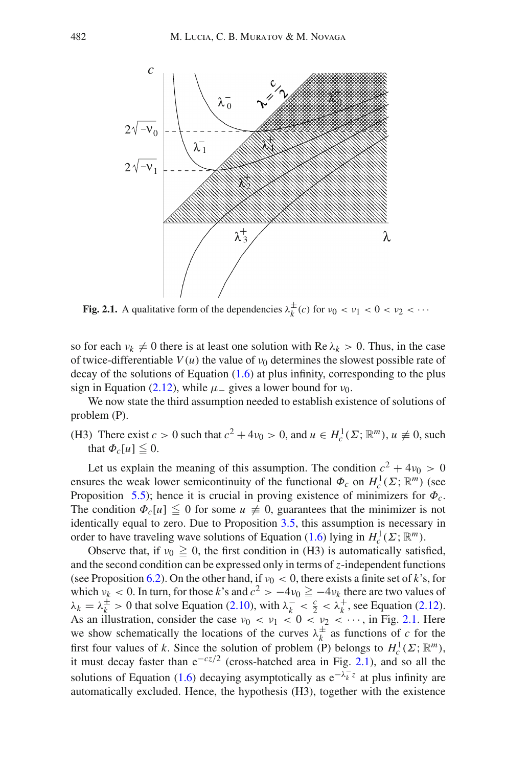

**Fig. 2.1.** A qualitative form of the dependencies  $\lambda_k^{\pm}(c)$  for  $\nu_0 < \nu_1 < 0 < \nu_2 < \cdots$ 

<span id="page-7-0"></span>so for each  $\nu_k \neq 0$  there is at least one solution with Re  $\lambda_k > 0$ . Thus, in the case of twice-differentiable  $V(u)$  the value of  $v_0$  determines the slowest possible rate of decay of the solutions of Equation  $(1.6)$  at plus infinity, corresponding to the plus sign in Equation [\(2.12\)](#page-6-1), while  $\mu$  gives a lower bound for  $\nu_0$ .

We now state the third assumption needed to establish existence of solutions of problem (P).

(H3) There exist  $c > 0$  such that  $c^2 + 4\nu_0 > 0$ , and  $u \in H_c^1(\Sigma; \mathbb{R}^m)$ ,  $u \neq 0$ , such that  $\Phi_c[u] \leq 0$ .

Let us explain the meaning of this assumption. The condition  $c^2 + 4\nu_0 > 0$ ensures the weak lower semicontinuity of the functional  $\Phi_c$  on  $H_c^1(\Sigma; \mathbb{R}^m)$  (see Proposition [5.5\)](#page-19-0); hence it is crucial in proving existence of minimizers for  $\Phi_c$ . The condition  $\Phi_c[u] \leq 0$  for some  $u \neq 0$ , guarantees that the minimizer is not identically equal to zero. Due to Proposition [3.5,](#page-11-0) this assumption is necessary in order to have traveling wave solutions of Equation [\(1.6\)](#page-2-0) lying in  $H_c^1(\Sigma; \mathbb{R}^m)$ .

Observe that, if  $v_0 \ge 0$ , the first condition in (H3) is automatically satisfied, and the second condition can be expressed only in terms of *z*-independent functions (see Proposition [6.2\)](#page-21-0). On the other hand, if  $v_0 < 0$ , there exists a finite set of k's, for which  $\nu_k$  < 0. In turn, for those *k*'s and  $c^2 > -4\nu_0 \ge -4\nu_k$  there are two values of  $\lambda_k = \lambda_k^{\pm} > 0$  that solve Equation [\(2.10\)](#page-6-0), with  $\lambda_k^- < \frac{c}{2} < \lambda_k^+$ , see Equation [\(2.12\)](#page-6-1). As an illustration, consider the case  $v_0 < v_1 < 0 < v_2 < \cdots$ , in Fig. [2.1.](#page-7-0) Here we show schematically the locations of the curves  $\lambda_k^{\pm}$  as functions of *c* for the first four values of *k*. Since the solution of problem (P) belongs to  $H_c^1(\Sigma; \mathbb{R}^m)$ , it must decay faster than e−*cz*/<sup>2</sup> (cross-hatched area in Fig. [2.1\)](#page-7-0), and so all the solutions of Equation [\(1.6\)](#page-2-0) decaying asymptotically as  $e^{-\lambda_k^- z}$  at plus infinity are automatically excluded. Hence, the hypothesis (H3), together with the existence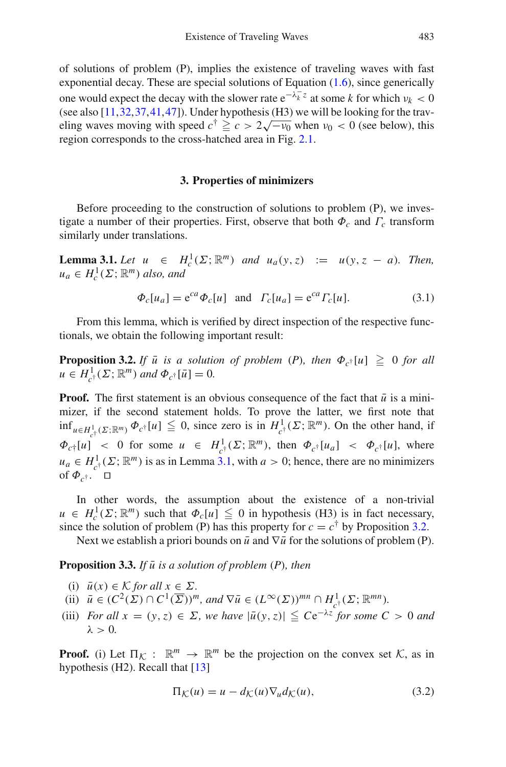of solutions of problem (P), implies the existence of traveling waves with fast exponential decay. These are special solutions of Equation [\(1.6\)](#page-2-0), since generically one would expect the decay with the slower rate  $e^{-\lambda_k^2 z}$  at some *k* for which  $\nu_k < 0$ (see also [\[11,](#page-32-8)[32](#page-32-13)[,37](#page-33-4)[,41](#page-33-14),[47\]](#page-33-15)). Under hypothesis (H3) we will be looking for the trav-(see also [11,32,37,41,47]). Onder hypothesis (113) we will be looking for the traveling waves moving with speed  $c^{\dagger} \ge c > 2\sqrt{-v_0}$  when  $v_0 < 0$  (see below), this region corresponds to the cross-hatched area in Fig. [2.1.](#page-7-0)

## **3. Properties of minimizers**

<span id="page-8-0"></span>Before proceeding to the construction of solutions to problem (P), we investigate a number of their properties. First, observe that both  $\Phi_c$  and  $\Gamma_c$  transform similarly under translations.

<span id="page-8-1"></span>**Lemma 3.1.** *Let*  $u \in H_c^1(\Sigma; \mathbb{R}^m)$  *and*  $u_a(y, z) := u(y, z - a)$ *. Then,*  $u_a \in H_c^1(\Sigma; \mathbb{R}^m)$  *also, and* 

$$
\Phi_c[u_a] = e^{ca}\Phi_c[u] \quad \text{and} \quad \Gamma_c[u_a] = e^{ca}\Gamma_c[u].\tag{3.1}
$$

<span id="page-8-2"></span>From this lemma, which is verified by direct inspection of the respective functionals, we obtain the following important result:

**Proposition 3.2.** *If*  $\bar{u}$  *is a solution of problem (P), then*  $\Phi_{c^{\dagger}}[u] \geq 0$  *for all*  $u \in H^1_{c^{\dagger}}(\Sigma; \mathbb{R}^m)$  *and*  $\Phi_{c^{\dagger}}[\bar{u}] = 0$ .

**Proof.** The first statement is an obvious consequence of the fact that  $\bar{u}$  is a minimizer, if the second statement holds. To prove the latter, we first note that  $\inf_{u \in H^1_{c^{\dagger}}(\Sigma; \mathbb{R}^m)} \Phi_{c^{\dagger}}[u] \leq 0$ , since zero is in  $H^1_{c^{\dagger}}(\Sigma; \mathbb{R}^m)$ . On the other hand, if  $\Phi_{c\uparrow}[u]$  < 0 for some  $u \in H^1_{c\uparrow}(\Sigma; \mathbb{R}^m)$ , then  $\Phi_{c\uparrow}[u_a]$  <  $\Phi_{c\uparrow}[u]$ , where  $u_a \in H^1_{c^{\dagger}}(\Sigma; \mathbb{R}^m)$  is as in Lemma [3.1,](#page-8-1) with  $a > 0$ ; hence, there are no minimizers of  $\Phi_{c\uparrow}$ .  $\Box$ 

In other words, the assumption about the existence of a non-trivial  $u \in H_c^1(\Sigma; \mathbb{R}^m)$  such that  $\Phi_c[u] \leq 0$  in hypothesis (H3) is in fact necessary, since the solution of problem (P) has this property for  $c = c^{\dagger}$  by Proposition [3.2.](#page-8-2)

Next we establish a priori bounds on  $\bar{u}$  and  $\nabla \bar{u}$  for the solutions of problem (P).

<span id="page-8-4"></span>**Proposition 3.3.** *If*  $\bar{u}$  *is a solution of problem*  $(P)$ *, then* 

- (i)  $\bar{u}(x) \in \mathcal{K}$  *for all*  $x \in \Sigma$ *.*
- (ii)  $\bar{u} \in (C^2(\Sigma) \cap C^1(\overline{\Sigma}))^m$ , and  $\nabla \bar{u} \in (L^{\infty}(\Sigma))^{mn} \cap H^1_{c^{\dagger}}(\Sigma; \mathbb{R}^{mn}).$
- (iii) *For all*  $x = (y, z) \in \Sigma$ , we have  $|\bar{u}(y, z)| \leq Ce^{-\lambda z}$  *for some*  $C > 0$  *and*  $\lambda > 0$ .

<span id="page-8-3"></span>**Proof.** (i) Let  $\Pi_K : \mathbb{R}^m \to \mathbb{R}^m$  be the projection on the convex set  $K$ , as in hypothesis (H2). Recall that [\[13](#page-32-17)]

$$
\Pi_{\mathcal{K}}(u) = u - d_{\mathcal{K}}(u)\nabla_u d_{\mathcal{K}}(u),\tag{3.2}
$$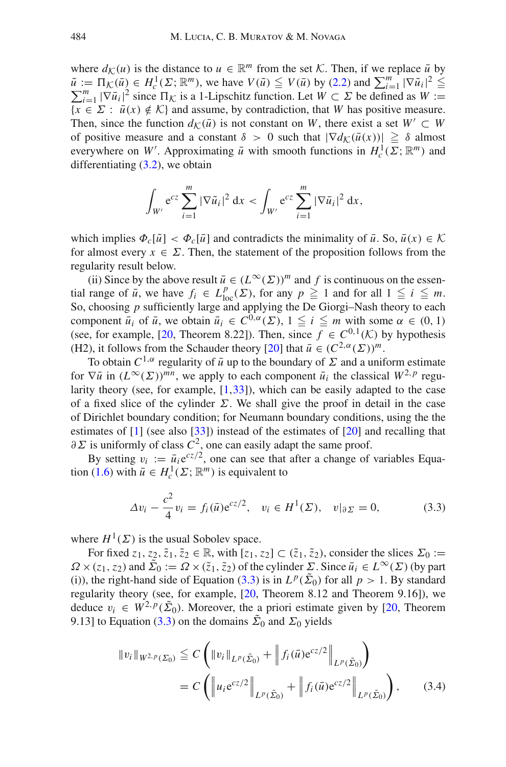where  $d_K(u)$  is the distance to  $u \in \mathbb{R}^m$  from the set *K*. Then, if we replace  $\bar{u}$  by  $\tilde{u} := \Pi_{\mathcal{K}}(\bar{u}) \in H_c^1(\Sigma; \mathbb{R}^m)$ , we have  $V(\tilde{u}) \leq V(\bar{u})$  by [\(2.2\)](#page-4-1) and  $\sum_{i=1}^m |\nabla \tilde{u}_i|^2 \leq$  $\sum_{i=1}^{m} |\nabla \bar{u}_i|^2$  since  $\Pi_{\mathcal{K}}$  is a 1-Lipschitz function. Let  $W \subset \Sigma$  be defined as  $W :=$  ${x \in \Sigma : \bar{u}(x) \notin \mathcal{K}}$  and assume, by contradiction, that *W* has positive measure. Then, since the function  $d_K(\bar{u})$  is not constant on *W*, there exist a set  $W' \subset W$ of positive measure and a constant  $\delta > 0$  such that  $|\nabla d_K(\bar{u}(x))| \geq \delta$  almost everywhere on *W'*. Approximating  $\bar{u}$  with smooth functions in  $H_c^1(\Sigma; \mathbb{R}^m)$  and differentiating  $(3.2)$ , we obtain

$$
\int_{W'} e^{cz} \sum_{i=1}^{m} |\nabla \tilde{u}_i|^2 dx < \int_{W'} e^{cz} \sum_{i=1}^{m} |\nabla \tilde{u}_i|^2 dx,
$$

which implies  $\Phi_c[\tilde{u}] < \Phi_c[\bar{u}]$  and contradicts the minimality of  $\bar{u}$ . So,  $\bar{u}(x) \in \mathcal{K}$ for almost every  $x \in \Sigma$ . Then, the statement of the proposition follows from the regularity result below.

(ii) Since by the above result  $\bar{u} \in (L^{\infty}(\Sigma))^m$  and f is continuous on the essential range of  $\bar{u}$ , we have  $f_i \in L^p_{loc}(\Sigma)$ , for any  $p \ge 1$  and for all  $1 \le i \le m$ . So, choosing *p* sufficiently large and applying the De Giorgi–Nash theory to each component  $\bar{u}_i$  of  $\bar{u}$ , we obtain  $\bar{u}_i \in C^{0,\alpha}(\Sigma)$ ,  $1 \leq i \leq m$  with some  $\alpha \in (0,1)$ (see, for example, [\[20](#page-32-21), Theorem 8.22]). Then, since  $f \in C^{0,1}(\mathcal{K})$  by hypothesis (H2), it follows from the Schauder theory [\[20\]](#page-32-21) that  $\bar{u} \in (C^{2,\alpha}(\Sigma))^{m}$ .

To obtain  $C^{1,\alpha}$  regularity of  $\bar{u}$  up to the boundary of  $\Sigma$  and a uniform estimate for  $\nabla \bar{u}$  in  $(L^{\infty}(\Sigma))^{mn}$ , we apply to each component  $\bar{u}_i$  the classical  $W^{2,p}$  regularity theory (see, for example,  $[1,33]$  $[1,33]$  $[1,33]$ ), which can be easily adapted to the case of a fixed slice of the cylinder  $\Sigma$ . We shall give the proof in detail in the case of Dirichlet boundary condition; for Neumann boundary conditions, using the the estimates of [\[1](#page-31-3)] (see also [\[33\]](#page-32-22)) instead of the estimates of [\[20\]](#page-32-21) and recalling that  $\partial \Sigma$  is uniformly of class  $C^2$ , one can easily adapt the same proof.

By setting  $v_i := \bar{u}_i e^{cz/2}$ , one can see that after a change of variables Equa-tion [\(1.6\)](#page-2-0) with  $\bar{u} \in H_c^1(\Sigma; \mathbb{R}^m)$  is equivalent to

$$
\Delta v_i - \frac{c^2}{4} v_i = f_i(\bar{u}) e^{cz/2}, \quad v_i \in H^1(\Sigma), \quad v|_{\partial \Sigma} = 0,
$$
 (3.3)

<span id="page-9-0"></span>where  $H^1(\Sigma)$  is the usual Sobolev space.

For fixed  $z_1, z_2, \tilde{z}_1, \tilde{z}_2 \in \mathbb{R}$ , with  $[z_1, z_2] \subset (\tilde{z}_1, \tilde{z}_2)$ , consider the slices  $\Sigma_0 :=$  $\Omega \times (\overline{z}_1, \overline{z}_2)$  and  $\overline{\Sigma}_0 := \Omega \times (\overline{z}_1, \overline{z}_2)$  of the cylinder  $\Sigma$ . Since  $\overline{u}_i \in L^{\infty}(\Sigma)$  (by part (i)), the right-hand side of Equation [\(3.3\)](#page-9-0) is in  $L^p(\tilde{\Sigma}_0)$  for all  $p > 1$ . By standard regularity theory (see, for example, [\[20](#page-32-21), Theorem 8.12 and Theorem 9.16]), we deduce  $v_i \in W^{2,p}(\tilde{\Sigma}_0)$ . Moreover, the a priori estimate given by [\[20](#page-32-21), Theorem 9.13] to Equation [\(3.3\)](#page-9-0) on the domains  $\tilde{\Sigma}_0$  and  $\Sigma_0$  yields

<span id="page-9-1"></span>
$$
||v_{i}||_{W^{2,p}(\Sigma_{0})} \leq C \left( ||v_{i}||_{L^{p}(\tilde{\Sigma}_{0})} + ||f_{i}(\bar{u})e^{cz/2}||_{L^{p}(\tilde{\Sigma}_{0})} \right)
$$
  
=  $C \left( ||u_{i}e^{cz/2}||_{L^{p}(\tilde{\Sigma}_{0})} + ||f_{i}(\bar{u})e^{cz/2}||_{L^{p}(\tilde{\Sigma}_{0})} \right),$  (3.4)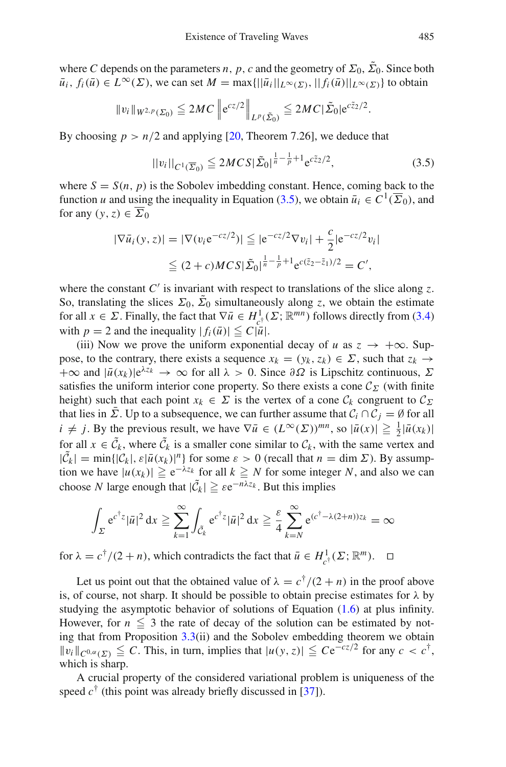where *C* depends on the parameters *n*, *p*, *c* and the geometry of  $\Sigma_0$ ,  $\tilde{\Sigma}_0$ . Since both  $\bar{u}_i, f_i(\bar{u}) \in L^\infty(\Sigma)$ , we can set  $M = \max\{||\bar{u}_i||_{L^\infty(\Sigma)}, ||f_i(\bar{u})||_{L^\infty(\Sigma)}\}$  to obtain

$$
||v_i||_{W^{2,p}(\Sigma_0)} \leq 2MC ||e^{cz/2}||_{L^p(\tilde{\Sigma}_0)} \leq 2MC |\tilde{\Sigma}_0| e^{c\tilde{z}_2/2}.
$$

By choosing  $p > n/2$  and applying [\[20](#page-32-21), Theorem 7.26], we deduce that

$$
||v_i||_{C^1(\overline{\Sigma}_0)} \le 2MCS|\tilde{\Sigma}_0|^{\frac{1}{n}-\frac{1}{p}+1} e^{c\tilde{z}_2/2}, \tag{3.5}
$$

<span id="page-10-0"></span>where  $S = S(n, p)$  is the Sobolev imbedding constant. Hence, coming back to the function *u* and using the inequality in Equation [\(3.5\)](#page-10-0), we obtain  $\bar{u}_i \in C^1(\overline{\Sigma}_0)$ , and for any  $(y, z) \in \overline{\Sigma}_0$ 

$$
|\nabla \bar{u}_i(y, z)| = |\nabla (v_i e^{-cz/2})| \leq |e^{-cz/2} \nabla v_i| + \frac{c}{2} |e^{-cz/2} v_i|
$$
  

$$
\leq (2 + c) MC S |\tilde{\Sigma}_0|^{\frac{1}{n} - \frac{1}{p} + 1} e^{c(\tilde{z}_2 - \tilde{z}_1)/2} = C',
$$

where the constant  $C'$  is invariant with respect to translations of the slice along  $\zeta$ . So, translating the slices  $\Sigma_0$ ,  $\overline{\Sigma}_0$  simultaneously along *z*, we obtain the estimate for all  $x \in \Sigma$ . Finally, the fact that  $\nabla \bar{u} \in H^1_{c^{\dagger}}(\Sigma; \mathbb{R}^{mn})$  follows directly from [\(3.4\)](#page-9-1) with  $p = 2$  and the inequality  $|f_i(\bar{u})| \leq C|\bar{u}|$ .

(iii) Now we prove the uniform exponential decay of *u* as  $z \rightarrow +\infty$ . Suppose, to the contrary, there exists a sequence  $x_k = (y_k, z_k) \in \Sigma$ , such that  $z_k \rightarrow$  $+\infty$  and  $|\bar{u}(x_k)|e^{\lambda z_k} \to \infty$  for all  $\lambda > 0$ . Since  $\partial\Omega$  is Lipschitz continuous,  $\Sigma$ satisfies the uniform interior cone property. So there exists a cone  $\mathcal{C}_{\Sigma}$  (with finite height) such that each point  $x_k \in \Sigma$  is the vertex of a cone  $\mathcal{C}_k$  congruent to  $\mathcal{C}_{\Sigma}$ that lies in  $\bar{\Sigma}$ . Up to a subsequence, we can further assume that  $C_i \cap C_j = \emptyset$  for all  $i \neq j$ . By the previous result, we have  $\nabla \bar{u} \in (L^{\infty}(\Sigma))^{mn}$ , so  $|\bar{u}(x)| \geq \frac{1}{2} |\bar{u}(x_k)|$ for all  $x \in \tilde{C}_k$ , where  $\tilde{C}_k$  is a smaller cone similar to  $C_k$ , with the same vertex and  $|\tilde{C}_k| = \min\{|\mathcal{C}_k|, \varepsilon|\bar{u}(x_k)|^n\}$  for some  $\varepsilon > 0$  (recall that  $n = \dim \Sigma$ ). By assumption we have  $|u(x_k)| \ge e^{-\lambda z_k}$  for all  $k \ge N$  for some integer *N*, and also we can choose *N* large enough that  $|\tilde{C}_k| \geq \varepsilon e^{-n\lambda z_k}$ . But this implies

$$
\int_{\Sigma} e^{c^{\dagger}z} |\bar{u}|^2 dx \ge \sum_{k=1}^{\infty} \int_{\tilde{C}_k} e^{c^{\dagger}z} |\bar{u}|^2 dx \ge \frac{\varepsilon}{4} \sum_{k=N}^{\infty} e^{(c^{\dagger}-\lambda(2+n))z_k} = \infty
$$

for  $\lambda = c^{\dagger}/(2+n)$ , which contradicts the fact that  $\bar{u} \in H^1_{c^{\dagger}}(\Sigma; \mathbb{R}^m)$ .  $\Box$ 

Let us point out that the obtained value of  $\lambda = c^{\dagger}/(2 + n)$  in the proof above is, of course, not sharp. It should be possible to obtain precise estimates for  $\lambda$  by studying the asymptotic behavior of solutions of Equation  $(1.6)$  at plus infinity. However, for  $n \leq 3$  the rate of decay of the solution can be estimated by noting that from Proposition [3.3\(](#page-8-4)ii) and the Sobolev embedding theorem we obtain  $||v_i||_{C^{0,\alpha}(\Sigma)} \leq C$ . This, in turn, implies that  $|u(y, z)| \leq C e^{-cz/2}$  for any  $c < c^{\dagger}$ , which is sharp.

<span id="page-10-1"></span>A crucial property of the considered variational problem is uniqueness of the speed  $c^{\dagger}$  (this point was already briefly discussed in [\[37\]](#page-33-4)).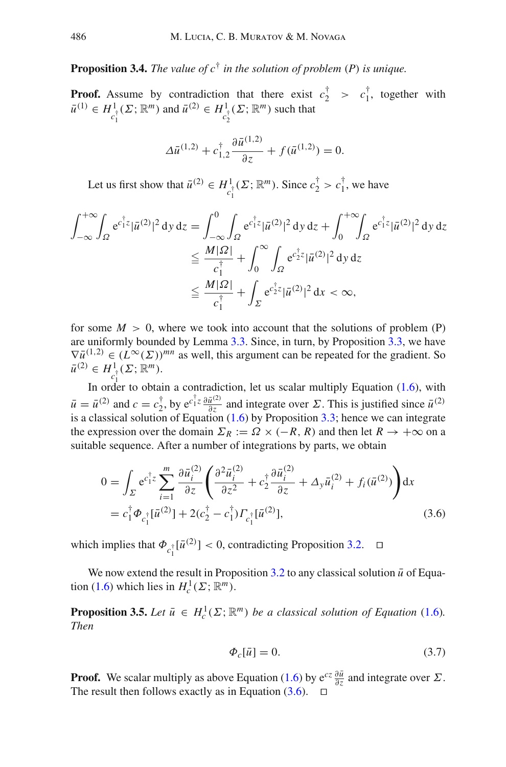**Proposition 3.4.** *The value of c*† *in the solution of problem* (*P*) *is unique.*

**Proof.** Assume by contradiction that there exist  $c_2^{\dagger} > c_1^{\dagger}$ , together with  $\bar{u}^{(1)} \in H^1_{c_1^+}(\Sigma; \mathbb{R}^m)$  and  $\bar{u}^{(2)} \in H^1_{c_2^+}(\Sigma; \mathbb{R}^m)$  such that

$$
\Delta \bar{u}^{(1,2)} + c_{1,2}^{\dagger} \frac{\partial \bar{u}^{(1,2)}}{\partial z} + f(\bar{u}^{(1,2)}) = 0.
$$

Let us first show that  $\bar{u}^{(2)} \in H^1_{c_1^{\dagger}}(\Sigma; \mathbb{R}^m)$ . Since  $c_2^{\dagger} > c_1^{\dagger}$ , we have

$$
\int_{-\infty}^{+\infty} \int_{\Omega} e^{c_1^{\dagger} z} |\bar{u}^{(2)}|^2 dy dz = \int_{-\infty}^{0} \int_{\Omega} e^{c_1^{\dagger} z} |\bar{u}^{(2)}|^2 dy dz + \int_{0}^{+\infty} \int_{\Omega} e^{c_1^{\dagger} z} |\bar{u}^{(2)}|^2 dy dz
$$
  
\n
$$
\leq \frac{M|\Omega|}{c_1^{\dagger}} + \int_{0}^{\infty} \int_{\Omega} e^{c_2^{\dagger} z} |\bar{u}^{(2)}|^2 dy dz
$$
  
\n
$$
\leq \frac{M|\Omega|}{c_1^{\dagger}} + \int_{\Sigma} e^{c_2^{\dagger} z} |\bar{u}^{(2)}|^2 dx < \infty,
$$

for some  $M > 0$ , where we took into account that the solutions of problem (P) are uniformly bounded by Lemma [3.3.](#page-8-4) Since, in turn, by Proposition [3.3,](#page-8-4) we have  $\nabla \bar{u}^{(1,2)} \in (L^{\infty}(\Sigma))^{mn}$  as well, this argument can be repeated for the gradient. So  $\bar{u}^{(2)} \in H^1_{c^{\dagger}}(\Sigma; \mathbb{R}^m)$ .

In order to obtain a contradiction, let us scalar multiply Equation [\(1.6\)](#page-2-0), with  $\bar{u} = \bar{u}^{(2)}$  and  $c = c_2^{\dagger}$ , by  $e^{c_1^{\dagger} z} \frac{\partial \bar{u}^{(2)}}{\partial z}$  and integrate over  $\Sigma$ . This is justified since  $\bar{u}^{(2)}$ is a classical solution of Equation  $(1.6)$  by Proposition [3.3;](#page-8-4) hence we can integrate the expression over the domain  $\Sigma_R := \Omega \times (-R, R)$  and then let  $R \to +\infty$  on a suitable sequence. After a number of integrations by parts, we obtain

$$
0 = \int_{\Sigma} e^{c_1^{\dagger} z} \sum_{i=1}^{m} \frac{\partial \bar{u}_i^{(2)}}{\partial z} \left( \frac{\partial^2 \bar{u}_i^{(2)}}{\partial z^2} + c_2^{\dagger} \frac{\partial \bar{u}_i^{(2)}}{\partial z} + \Delta_y \bar{u}_i^{(2)} + f_i (\bar{u}^{(2)}) \right) dx
$$
  
=  $c_1^{\dagger} \Phi_{c_1^{\dagger}} [\bar{u}^{(2)}] + 2(c_2^{\dagger} - c_1^{\dagger}) \Gamma_{c_1^{\dagger}} [\bar{u}^{(2)}],$  (3.6)

<span id="page-11-1"></span>which implies that  $\Phi_{c_1^{\dagger}}[\bar{u}^{(2)}] < 0$ , contradicting Proposition [3.2.](#page-8-2)  $\Box$ 

<span id="page-11-0"></span>We now extend the result in Proposition  $3.2$  to any classical solution  $\bar{u}$  of Equa-tion [\(1.6\)](#page-2-0) which lies in  $H_c^1(\Sigma; \mathbb{R}^m)$ .

**Proposition 3.5.** *Let*  $\bar{u} \in H_c^1(\Sigma; \mathbb{R}^m)$  *be a classical solution of Equation* [\(1.6\)](#page-2-0)*. Then*

$$
\Phi_c[\bar{u}] = 0. \tag{3.7}
$$

**Proof.** We scalar multiply as above Equation [\(1.6\)](#page-2-0) by  $e^{cz} \frac{\partial \bar{u}}{\partial z}$  and integrate over  $\Sigma$ . The result then follows exactly as in Equation  $(3.6)$ .  $\Box$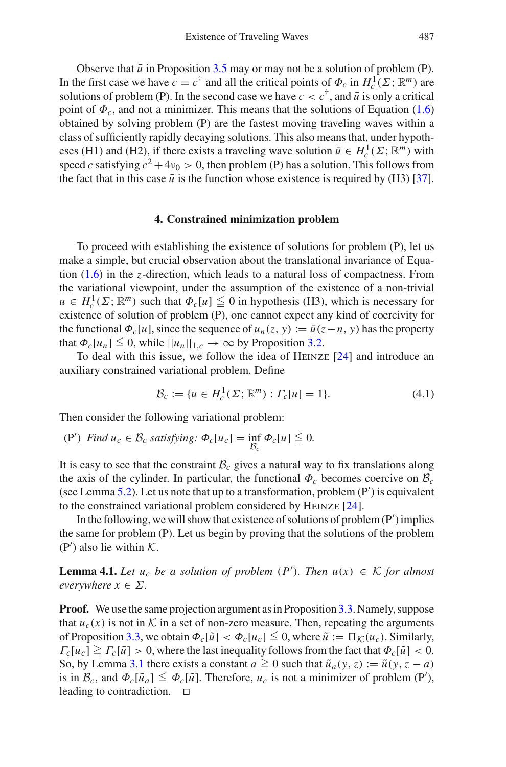Observe that  $\bar{u}$  in Proposition [3.5](#page-11-0) may or may not be a solution of problem (P). In the first case we have  $c = c^{\dagger}$  and all the critical points of  $\Phi_c$  in  $H_c^1(\Sigma; \mathbb{R}^m)$  are solutions of problem (P). In the second case we have  $c < c^{\dagger}$ , and  $\bar{u}$  is only a critical point of  $\Phi_c$ , and not a minimizer. This means that the solutions of Equation [\(1.6\)](#page-2-0) obtained by solving problem (P) are the fastest moving traveling waves within a class of sufficiently rapidly decaying solutions. This also means that, under hypotheses (H1) and (H2), if there exists a traveling wave solution  $\bar{u} \in H_c^1(\Sigma; \mathbb{R}^m)$  with speed *c* satisfying  $c^2 + 4\nu_0 > 0$ , then problem (P) has a solution. This follows from the fact that in this case  $\bar{u}$  is the function whose existence is required by (H3) [\[37\]](#page-33-4).

## **4. Constrained minimization problem**

<span id="page-12-0"></span>To proceed with establishing the existence of solutions for problem (P), let us make a simple, but crucial observation about the translational invariance of Equation [\(1.6\)](#page-2-0) in the *z*-direction, which leads to a natural loss of compactness. From the variational viewpoint, under the assumption of the existence of a non-trivial  $u \in H_c^1(\Sigma; \mathbb{R}^m)$  such that  $\Phi_c[u] \leq 0$  in hypothesis (H3), which is necessary for existence of solution of problem (P), one cannot expect any kind of coercivity for the functional  $\Phi_c[u]$ , since the sequence of  $u_n(z, y) := \bar{u}(z - n, y)$  has the property that  $\Phi_c[u_n] \leq 0$ , while  $||u_n||_{1,c} \to \infty$  by Proposition [3.2.](#page-8-2)

To deal with this issue, we follow the idea of Heinze [\[24\]](#page-32-12) and introduce an auxiliary constrained variational problem. Define

$$
\mathcal{B}_c := \{ u \in H_c^1(\Sigma; \mathbb{R}^m) : \Gamma_c[u] = 1 \}. \tag{4.1}
$$

<span id="page-12-2"></span>Then consider the following variational problem:

(P<sup>'</sup>) *Find*  $u_c \in \mathcal{B}_c$  *satisfying:*  $\Phi_c[u_c] = \inf_{\mathcal{B}_c}$  $\Phi_c[u] \leq 0.$ 

It is easy to see that the constraint  $B_c$  gives a natural way to fix translations along the axis of the cylinder. In particular, the functional  $\Phi_c$  becomes coercive on  $\mathcal{B}_c$ (see Lemma  $5.2$ ). Let us note that up to a transformation, problem  $(P')$  is equivalent to the constrained variational problem considered by Heinze [\[24\]](#page-32-12).

In the following, we will show that existence of solutions of problem (P') implies the same for problem (P). Let us begin by proving that the solutions of the problem (P ) also lie within *K*.

<span id="page-12-1"></span>**Lemma 4.1.** *Let*  $u_c$  *be a solution of problem*  $(P')$ *. Then*  $u(x) \in K$  *for almost everywhere*  $x \in \Sigma$ .

**Proof.** We use the same projection argument as in Proposition [3.3.](#page-8-4) Namely, suppose that  $u_c(x)$  is not in K in a set of non-zero measure. Then, repeating the arguments of Proposition [3.3,](#page-8-4) we obtain  $\Phi_c[\tilde{u}] < \Phi_c[u_c] \leq 0$ , where  $\tilde{u} := \Pi_{\mathcal{K}}(u_c)$ . Similarly,  $\Gamma_c[u_c] \geq \Gamma_c[\tilde{u}] > 0$ , where the last inequality follows from the fact that  $\Phi_c[\tilde{u}] < 0$ . So, by Lemma [3.1](#page-8-1) there exists a constant  $a \ge 0$  such that  $\tilde{u}_a(y, z) := \tilde{u}(y, z - a)$ is in  $\mathcal{B}_c$ , and  $\Phi_c[\tilde{u}_a] \leq \Phi_c[\tilde{u}]$ . Therefore,  $u_c$  is not a minimizer of problem (P'), leading to contradiction.  $\square$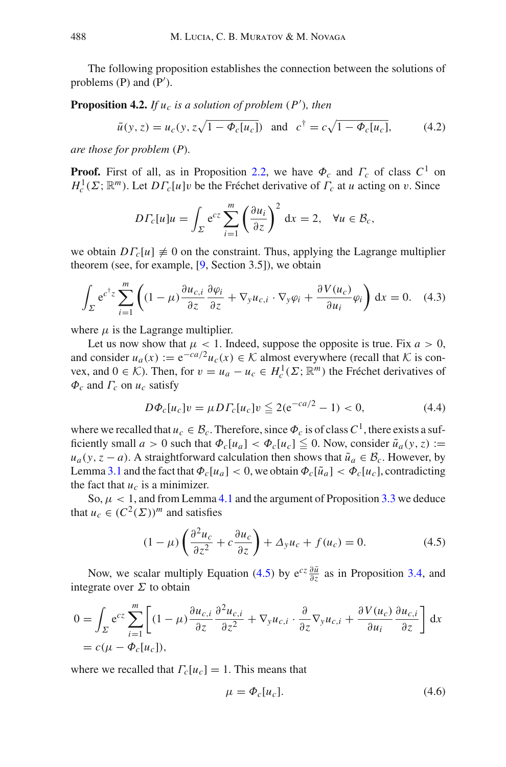The following proposition establishes the connection between the solutions of problems (P) and (P').

**Proposition 4.2.** *If*  $u_c$  *is a solution of problem*  $(P')$ *, then* 

$$
\bar{u}(y, z) = u_c(y, z\sqrt{1 - \Phi_c[u_c]})
$$
 and  $c^{\dagger} = c\sqrt{1 - \Phi_c[u_c]}$ , (4.2)

*are those for problem* (*P*)*.*

**Proof.** First of all, as in Proposition [2.2,](#page-5-0) we have  $\Phi_c$  and  $\Gamma_c$  of class  $C^1$  on  $H_c^1(\Sigma; \mathbb{R}^m)$ . Let  $DT_c[u]v$  be the Fréchet derivative of  $\Gamma_c$  at *u* acting on *v*. Since

$$
D\Gamma_c[u]u = \int_{\Sigma} e^{cz} \sum_{i=1}^m \left(\frac{\partial u_i}{\partial z}\right)^2 dx = 2, \quad \forall u \in \mathcal{B}_c,
$$

we obtain  $DF_c[u] \neq 0$  on the constraint. Thus, applying the Lagrange multiplier theorem (see, for example, [\[9,](#page-32-23) Section 3.5]), we obtain

$$
\int_{\Sigma} e^{c^{\dagger}z} \sum_{i=1}^{m} \left( (1-\mu) \frac{\partial u_{c,i}}{\partial z} \frac{\partial \varphi_{i}}{\partial z} + \nabla_{y} u_{c,i} \cdot \nabla_{y} \varphi_{i} + \frac{\partial V(u_{c})}{\partial u_{i}} \varphi_{i} \right) dx = 0. \quad (4.3)
$$

where  $\mu$  is the Lagrange multiplier.

Let us now show that  $\mu$  < 1. Indeed, suppose the opposite is true. Fix  $a > 0$ , and consider  $u_a(x) := e^{-ca/2}u_c(x) \in \mathcal{K}$  almost everywhere (recall that  $\mathcal K$  is convex, and  $0 \in \mathcal{K}$ ). Then, for  $v = u_a - u_c \in H_c^1(\Sigma; \mathbb{R}^m)$  the Fréchet derivatives of  $\Phi_c$  and  $\Gamma_c$  on  $u_c$  satisfy

$$
D\Phi_c[u_c]v = \mu D\Gamma_c[u_c]v \leq 2(e^{-ca/2} - 1) < 0,\tag{4.4}
$$

where we recalled that  $u_c \in \mathcal{B}_c$ . Therefore, since  $\Phi_c$  is of class  $C^1$ , there exists a sufficiently small  $a > 0$  such that  $\Phi_c[u_a] < \Phi_c[u_c] \leq 0$ . Now, consider  $\tilde{u}_a(y, z) :=$  $u_a(y, z - a)$ . A straightforward calculation then shows that  $\tilde{u}_a \in \mathcal{B}_c$ . However, by Lemma [3.1](#page-8-1) and the fact that  $\Phi_c[u_a] < 0$ , we obtain  $\Phi_c[\tilde{u}_a] < \Phi_c[u_c]$ , contradicting the fact that  $u_c$  is a minimizer.

So,  $\mu$  < 1, and from Lemma [4.1](#page-12-1) and the argument of Proposition [3.3](#page-8-4) we deduce that  $u_c \in (C^2(\Sigma))^m$  and satisfies

$$
(1 - \mu) \left( \frac{\partial^2 u_c}{\partial z^2} + c \frac{\partial u_c}{\partial z} \right) + \Delta_y u_c + f(u_c) = 0.
$$
 (4.5)

<span id="page-13-0"></span>Now, we scalar multiply Equation [\(4.5\)](#page-13-0) by  $e^{cz} \frac{\partial \bar{u}}{\partial z}$  as in Proposition [3.4,](#page-10-1) and integrate over  $\Sigma$  to obtain

$$
0 = \int_{\Sigma} e^{cz} \sum_{i=1}^{m} \left[ (1 - \mu) \frac{\partial u_{c,i}}{\partial z} \frac{\partial^2 u_{c,i}}{\partial z^2} + \nabla_y u_{c,i} \cdot \frac{\partial}{\partial z} \nabla_y u_{c,i} + \frac{\partial V(u_c)}{\partial u_i} \frac{\partial u_{c,i}}{\partial z} \right] dx
$$
  
=  $c(\mu - \Phi_c[u_c]),$ 

where we recalled that  $\Gamma_c[u_c] = 1$ . This means that

$$
\mu = \Phi_c[u_c].\tag{4.6}
$$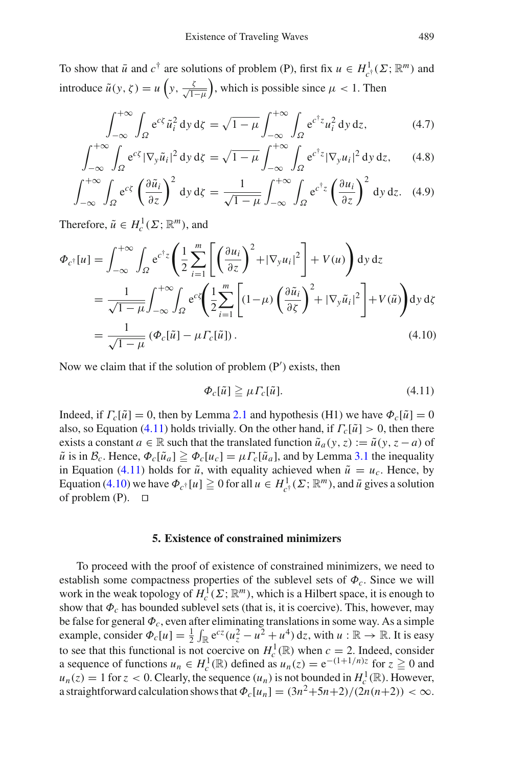To show that  $\bar{u}$  and  $c^{\dagger}$  are solutions of problem (P), first fix  $u \in H^1_{c^{\dagger}}(\Sigma; \mathbb{R}^m)$  and introduce  $\tilde{u}(y, \zeta) = u\left(y, \frac{\zeta}{\sqrt{1-\mu}}\right)$ , which is possible since  $\mu < 1$ . Then

$$
\int_{-\infty}^{+\infty} \int_{\Omega} e^{c\xi} \tilde{u}_i^2 dy d\xi = \sqrt{1 - \mu} \int_{-\infty}^{+\infty} \int_{\Omega} e^{c^{\dagger}z} u_i^2 dy dz, \tag{4.7}
$$

<span id="page-14-3"></span>
$$
\int_{-\infty}^{+\infty} \int_{\Omega} e^{c\zeta} |\nabla_{y} \tilde{u}_i|^2 dy d\zeta = \sqrt{1 - \mu} \int_{-\infty}^{+\infty} \int_{\Omega} e^{c^{\dagger} z} |\nabla_{y} u_i|^2 dy dz, \qquad (4.8)
$$

$$
\int_{-\infty}^{+\infty} \int_{\Omega} e^{c\xi} \left(\frac{\partial \tilde{u}_i}{\partial z}\right)^2 dy \,d\zeta = \frac{1}{\sqrt{1-\mu}} \int_{-\infty}^{+\infty} \int_{\Omega} e^{c^{\dagger}z} \left(\frac{\partial u_i}{\partial z}\right)^2 dy \,dz. \tag{4.9}
$$

Therefore,  $\tilde{u} \in H_c^1(\Sigma; \mathbb{R}^m)$ , and

<span id="page-14-2"></span>
$$
\Phi_{c^{\dagger}}[u] = \int_{-\infty}^{+\infty} \int_{\Omega} e^{c^{\dagger}z} \left( \frac{1}{2} \sum_{i=1}^{m} \left[ \left( \frac{\partial u_i}{\partial z} \right)^2 + |\nabla_y u_i|^2 \right] + V(u) \right) dy dz
$$
  
\n
$$
= \frac{1}{\sqrt{1-\mu}} \int_{-\infty}^{+\infty} \int_{\Omega} e^{c^z} \left( \frac{1}{2} \sum_{i=1}^{m} \left[ (1-\mu) \left( \frac{\partial \tilde{u}_i}{\partial z} \right)^2 + |\nabla_y \tilde{u}_i|^2 \right] + V(\tilde{u}) \right) dy d\zeta
$$
  
\n
$$
= \frac{1}{\sqrt{1-\mu}} \left( \Phi_c[\tilde{u}] - \mu \Gamma_c[\tilde{u}] \right). \tag{4.10}
$$

<span id="page-14-1"></span>Now we claim that if the solution of problem (P ) exists, then

$$
\Phi_c[\tilde{u}] \ge \mu \Gamma_c[\tilde{u}]. \tag{4.11}
$$

Indeed, if  $\Gamma_c[\tilde{u}] = 0$ , then by Lemma [2.1](#page-5-1) and hypothesis (H1) we have  $\Phi_c[\tilde{u}] = 0$ also, so Equation [\(4.11\)](#page-14-1) holds trivially. On the other hand, if  $\Gamma_c[\tilde{u}] > 0$ , then there exists a constant  $a \in \mathbb{R}$  such that the translated function  $\tilde{u}_a(y, z) := \tilde{u}(y, z - a)$  of  $\tilde{u}$  is in  $\mathcal{B}_c$ . Hence,  $\Phi_c[\tilde{u}_a] \ge \Phi_c[u_c] = \mu \Gamma_c[\tilde{u}_a]$ , and by Lemma [3.1](#page-8-1) the inequality in Equation [\(4.11\)](#page-14-1) holds for  $\tilde{u}$ , with equality achieved when  $\tilde{u} = u_c$ . Hence, by Equation [\(4.10\)](#page-14-2) we have  $\Phi_{c^{\dagger}}[u] \ge 0$  for all  $u \in H^1_{c^{\dagger}}(\Sigma; \mathbb{R}^m)$ , and  $\bar{u}$  gives a solution of problem  $(P)$ .  $\Box$ 

#### **5. Existence of constrained minimizers**

<span id="page-14-0"></span>To proceed with the proof of existence of constrained minimizers, we need to establish some compactness properties of the sublevel sets of Φ*c*. Since we will work in the weak topology of  $H_c^1(\Sigma; \mathbb{R}^m)$ , which is a Hilbert space, it is enough to show that  $\Phi_c$  has bounded sublevel sets (that is, it is coercive). This, however, may be false for general Φ*c*, even after eliminating translations in some way. As a simple example, consider  $\Phi_c[u] = \frac{1}{2} \int_{\mathbb{R}} e^{cz}(u_z^2 - u^2 + u^4) dz$ , with  $u : \mathbb{R} \to \mathbb{R}$ . It is easy to see that this functional is not coercive on  $H_c^1(\mathbb{R})$  when  $c = 2$ . Indeed, consider a sequence of functions  $u_n \in H_c^1(\mathbb{R})$  defined as  $u_n(z) = e^{-(1+1/n)z}$  for  $z \ge 0$  and  $u_n(z) = 1$  for  $z < 0$ . Clearly, the sequence  $(u_n)$  is not bounded in  $H_c^1(\mathbb{R})$ . However, a straightforward calculation shows that  $\Phi_c[u_n] = (3n^2+5n+2)/(2n(n+2)) < \infty$ .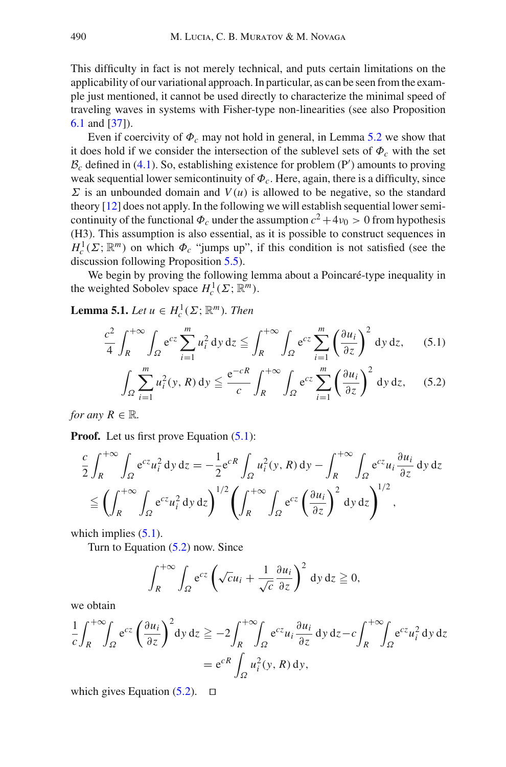This difficulty in fact is not merely technical, and puts certain limitations on the applicability of our variational approach. In particular, as can be seen from the example just mentioned, it cannot be used directly to characterize the minimal speed of traveling waves in systems with Fisher-type non-linearities (see also Proposition [6.1](#page-20-1) and [\[37\]](#page-33-4)).

Even if coercivity of  $\Phi_c$  may not hold in general, in Lemma [5.2](#page-16-0) we show that it does hold if we consider the intersection of the sublevel sets of  $\Phi_c$  with the set  $B_c$  defined in [\(4.1\)](#page-12-2). So, establishing existence for problem (P<sup>'</sup>) amounts to proving weak sequential lower semicontinuity of  $\Phi_c$ . Here, again, there is a difficulty, since  $\Sigma$  is an unbounded domain and  $V(u)$  is allowed to be negative, so the standard theory [\[12\]](#page-32-24) does not apply. In the following we will establish sequential lower semicontinuity of the functional  $\Phi_c$  under the assumption  $c^2 + 4\nu_0 > 0$  from hypothesis (H3). This assumption is also essential, as it is possible to construct sequences in  $H_c^1(\Sigma; \mathbb{R}^m)$  on which  $\Phi_c$  "jumps up", if this condition is not satisfied (see the discussion following Proposition [5.5\)](#page-19-0).

We begin by proving the following lemma about a Poincaré-type inequality in the weighted Sobolev space  $H_c^1(\Sigma; \mathbb{R}^m)$ .

<span id="page-15-1"></span><span id="page-15-0"></span>**Lemma 5.1.** *Let*  $u \in H_c^1(\Sigma; \mathbb{R}^m)$ *. Then* 

$$
\frac{c^2}{4} \int_R^{+\infty} \int_{\Omega} e^{cz} \sum_{i=1}^m u_i^2 \, \mathrm{d}y \, \mathrm{d}z \le \int_R^{+\infty} \int_{\Omega} e^{cz} \sum_{i=1}^m \left(\frac{\partial u_i}{\partial z}\right)^2 \, \mathrm{d}y \, \mathrm{d}z,\qquad(5.1)
$$

$$
\int_{\Omega} \sum_{i=1}^{m} u_i^2(y, R) \, \mathrm{d}y \le \frac{\mathrm{e}^{-cR}}{c} \int_{R}^{+\infty} \int_{\Omega} \mathrm{e}^{cz} \sum_{i=1}^{m} \left(\frac{\partial u_i}{\partial z}\right)^2 \, \mathrm{d}y \, \mathrm{d}z,\qquad(5.2)
$$

*for any*  $R \in \mathbb{R}$ *.* 

**Proof.** Let us first prove Equation  $(5.1)$ :

$$
\frac{c}{2} \int_{R}^{+\infty} \int_{\Omega} e^{cz} u_i^2 \, dy \, dz = -\frac{1}{2} e^{cR} \int_{\Omega} u_i^2(y, R) \, dy - \int_{R}^{+\infty} \int_{\Omega} e^{cz} u_i \frac{\partial u_i}{\partial z} \, dy \, dz
$$
\n
$$
\leq \left( \int_{R}^{+\infty} \int_{\Omega} e^{cz} u_i^2 \, dy \, dz \right)^{1/2} \left( \int_{R}^{+\infty} \int_{\Omega} e^{cz} \left( \frac{\partial u_i}{\partial z} \right)^2 \, dy \, dz \right)^{1/2},
$$

which implies  $(5.1)$ .

Turn to Equation [\(5.2\)](#page-15-0) now. Since

$$
\int_{R}^{+\infty} \int_{\Omega} e^{cz} \left( \sqrt{c} u_i + \frac{1}{\sqrt{c}} \frac{\partial u_i}{\partial z} \right)^2 dy dz \geqq 0,
$$

we obtain

$$
\frac{1}{c} \int_{R}^{+\infty} \int_{\Omega} e^{cz} \left( \frac{\partial u_{i}}{\partial z} \right)^{2} dy dz \ge -2 \int_{R}^{+\infty} \int_{\Omega} e^{cz} u_{i} \frac{\partial u_{i}}{\partial z} dy dz - c \int_{R}^{+\infty} \int_{\Omega} e^{cz} u_{i}^{2} dy dz
$$

$$
= e^{cR} \int_{\Omega} u_{i}^{2}(y, R) dy,
$$

which gives Equation  $(5.2)$ .  $\Box$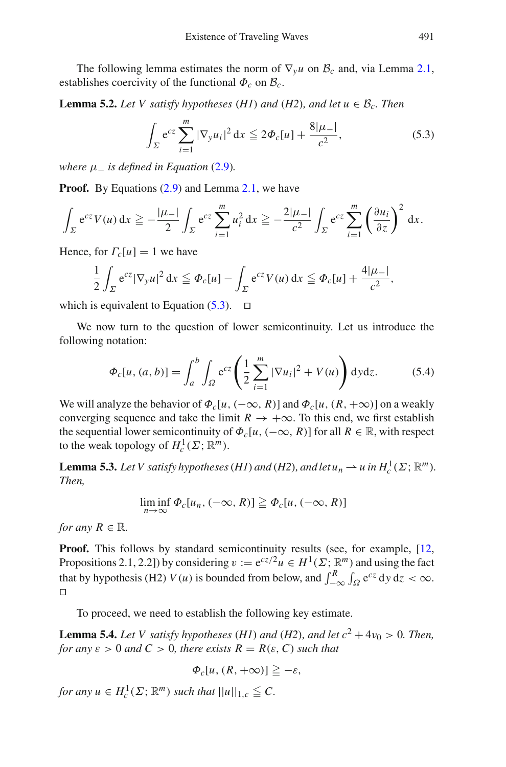<span id="page-16-0"></span>The following lemma estimates the norm of  $\nabla_{\mathbf{y}} u$  on  $\mathcal{B}_c$  and, via Lemma [2.1,](#page-5-1) establishes coercivity of the functional  $\Phi_c$  on  $\mathcal{B}_c$ .

<span id="page-16-1"></span>**Lemma 5.2.** *Let V satisfy hypotheses* (*H1*) *and* (*H2*)*, and let*  $u \in \mathcal{B}_c$ *. Then* 

$$
\int_{\Sigma} e^{cz} \sum_{i=1}^{m} |\nabla_y u_i|^2 dx \leq 2\Phi_c[u] + \frac{8|\mu_-|}{c^2},
$$
\n(5.3)

*where*  $\mu$  *is defined in Equation* [\(2.9\)](#page-6-2).

**Proof.** By Equations [\(2.9\)](#page-6-2) and Lemma [2.1,](#page-5-1) we have

$$
\int_{\Sigma} e^{cz} V(u) dx \geq -\frac{|\mu_-|}{2} \int_{\Sigma} e^{cz} \sum_{i=1}^m u_i^2 dx \geq -\frac{2|\mu_-|}{c^2} \int_{\Sigma} e^{cz} \sum_{i=1}^m \left(\frac{\partial u_i}{\partial z}\right)^2 dx.
$$

Hence, for  $\Gamma_c[u] = 1$  we have

$$
\frac{1}{2}\int_{\Sigma} e^{cz} |\nabla_y u|^2 dx \leq \Phi_c[u] - \int_{\Sigma} e^{cz} V(u) dx \leq \Phi_c[u] + \frac{4|\mu_-|}{c^2},
$$

which is equivalent to Equation  $(5.3)$ .  $\Box$ 

We now turn to the question of lower semicontinuity. Let us introduce the following notation:

$$
\Phi_c[u,(a,b)] = \int_a^b \int_{\Omega} e^{cz} \left( \frac{1}{2} \sum_{i=1}^m |\nabla u_i|^2 + V(u) \right) dy dz.
$$
 (5.4)

We will analyze the behavior of  $\Phi_c[u, (-\infty, R)]$  and  $\Phi_c[u, (R, +\infty)]$  on a weakly converging sequence and take the limit  $R \to +\infty$ . To this end, we first establish the sequential lower semicontinuity of  $\Phi_c[u, (-\infty, R)]$  for all  $R \in \mathbb{R}$ , with respect to the weak topology of  $H_c^1(\Sigma; \mathbb{R}^m)$ .

<span id="page-16-2"></span>**Lemma 5.3.** *Let V satisfy hypotheses (H1) and (H2), and let*  $u_n \rightharpoonup u$  *in*  $H_c^1(\Sigma; \mathbb{R}^m)$ *. Then,*

$$
\liminf_{n\to\infty}\Phi_c[u_n,(-\infty,R)]\geq \Phi_c[u,(-\infty,R)]
$$

*for any*  $R \in \mathbb{R}$ *.* 

**Proof.** This follows by standard semicontinuity results (see, for example, [\[12,](#page-32-24) Propositions 2.1, 2.2]) by considering  $v := e^{cz/2}u \in H^1(\Sigma; \mathbb{R}^m)$  and using the fact that by hypothesis (H2) *V*(*u*) is bounded from below, and  $\int_{-\infty}^{R} \int_{\Omega} e^{cz} dy dz < \infty$ .  $\Box$ 

To proceed, we need to establish the following key estimate.

<span id="page-16-3"></span>**Lemma 5.4.** *Let V satisfy hypotheses* (*H1*) *and* (*H2*)*, and let*  $c^2 + 4v_0 > 0$ *. Then, for any*  $\varepsilon > 0$  *and*  $C > 0$ *, there exists*  $R = R(\varepsilon, C)$  *such that* 

$$
\Phi_c[u,(R,+\infty)] \geqq -\varepsilon,
$$

*for any*  $u \in H_c^1(\Sigma; \mathbb{R}^m)$  *such that*  $||u||_{1,c} \leqq C$ .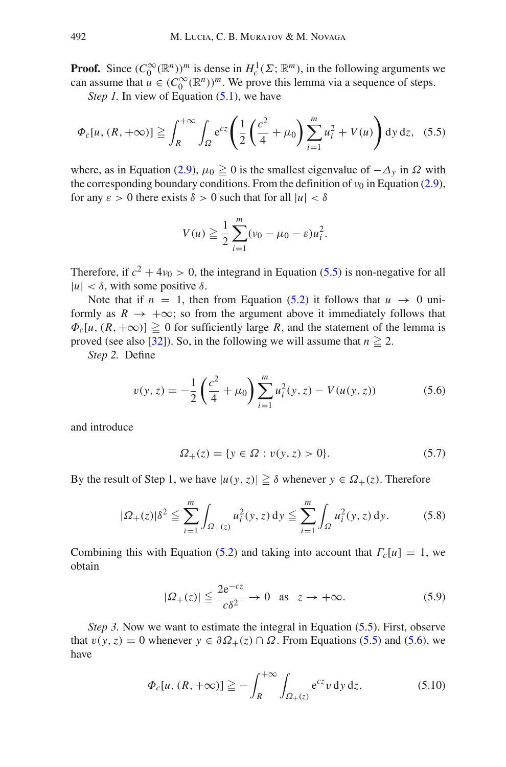**Proof.** Since  $(C_0^{\infty}(\mathbb{R}^n))^m$  is dense in  $H_c^1(\Sigma; \mathbb{R}^m)$ , in the following arguments we can assume that  $u \in (C_0^{\infty}(\mathbb{R}^n))^m$ . We prove this lemma via a sequence of steps.

*Step 1.* In view of Equation [\(5.1\)](#page-15-0), we have

<span id="page-17-0"></span>
$$
\Phi_c[u, (R, +\infty)] \geqq \int_R^{+\infty} \int_{\Omega} e^{cz} \left( \frac{1}{2} \left( \frac{c^2}{4} + \mu_0 \right) \sum_{i=1}^m u_i^2 + V(u) \right) dy \, dz, \tag{5.5}
$$

where, as in Equation [\(2.9\)](#page-6-2),  $\mu_0 \ge 0$  is the smallest eigenvalue of  $-\Delta_y$  in  $\Omega$  with the corresponding boundary conditions. From the definition of  $v_0$  in Equation [\(2.9\)](#page-6-2), for any  $\varepsilon > 0$  there exists  $\delta > 0$  such that for all  $|u| < \delta$ 

$$
V(u) \geqq \frac{1}{2} \sum_{i=1}^{m} (v_0 - \mu_0 - \varepsilon) u_i^2.
$$

Therefore, if  $c^2 + 4v_0 > 0$ , the integrand in Equation [\(5.5\)](#page-17-0) is non-negative for all  $|u| < \delta$ , with some positive  $\delta$ .

Note that if  $n = 1$ , then from Equation [\(5.2\)](#page-15-0) it follows that  $u \to 0$  uniformly as  $R \to +\infty$ ; so from the argument above it immediately follows that  $\Phi_c[u, (R, +\infty)] \ge 0$  for sufficiently large *R*, and the statement of the lemma is proved (see also [\[32\]](#page-32-13)). So, in the following we will assume that  $n \ge 2$ .

*Step 2.* Define

$$
v(y, z) = -\frac{1}{2} \left( \frac{c^2}{4} + \mu_0 \right) \sum_{i=1}^{m} u_i^2(y, z) - V(u(y, z)) \tag{5.6}
$$

<span id="page-17-1"></span>and introduce

$$
\Omega_+(z) = \{ y \in \Omega : v(y, z) > 0 \}. \tag{5.7}
$$

By the result of Step 1, we have  $|u(y, z)| \geq \delta$  whenever  $y \in \Omega_+(z)$ . Therefore

$$
|\Omega_{+}(z)|\delta^{2} \leq \sum_{i=1}^{m} \int_{\Omega_{+}(z)} u_{i}^{2}(y,z) dy \leq \sum_{i=1}^{m} \int_{\Omega} u_{i}^{2}(y,z) dy.
$$
 (5.8)

Combining this with Equation [\(5.2\)](#page-15-0) and taking into account that  $\Gamma_c[u] = 1$ , we obtain

$$
|\Omega_{+}(z)| \leq \frac{2e^{-cz}}{c\delta^2} \to 0 \quad \text{as} \quad z \to +\infty. \tag{5.9}
$$

<span id="page-17-3"></span><span id="page-17-2"></span>*Step 3.* Now we want to estimate the integral in Equation [\(5.5\)](#page-17-0). First, observe that  $v(y, z) = 0$  whenever  $y \in \partial \Omega_+(z) \cap \Omega$ . From Equations [\(5.5\)](#page-17-0) and [\(5.6\)](#page-17-1), we have

$$
\Phi_c[u, (R, +\infty)] \geqq -\int_R^{+\infty} \int_{\Omega_+(z)} e^{cz} v \, dy \, dz. \tag{5.10}
$$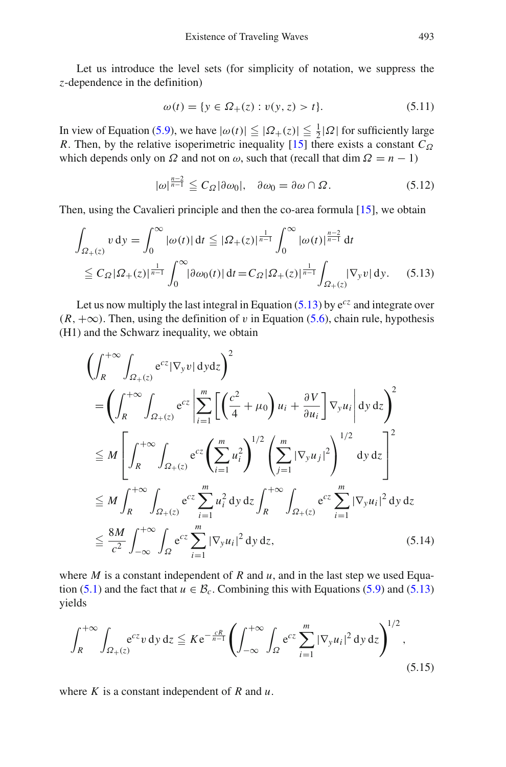Let us introduce the level sets (for simplicity of notation, we suppress the *z*-dependence in the definition)

$$
\omega(t) = \{ y \in \Omega_+(z) : v(y, z) > t \}. \tag{5.11}
$$

In view of Equation [\(5.9\)](#page-17-2), we have  $|\omega(t)| \leq |\Omega_+(z)| \leq \frac{1}{2} |\Omega|$  for sufficiently large *R*. Then, by the relative isoperimetric inequality [\[15\]](#page-32-25) there exists a constant  $C_{\Omega}$ which depends only on  $\Omega$  and not on  $\omega$ , such that (recall that dim  $\Omega = n - 1$ )

$$
|\omega|^{\frac{n-2}{n-1}} \leq C_{\Omega} |\partial \omega_0|, \quad \partial \omega_0 = \partial \omega \cap \Omega. \tag{5.12}
$$

<span id="page-18-0"></span>Then, using the Cavalieri principle and then the co-area formula [\[15\]](#page-32-25), we obtain

$$
\int_{\Omega_{+}(z)} v \, dy = \int_{0}^{\infty} |\omega(t)| \, dt \leq |\Omega_{+}(z)|^{\frac{1}{n-1}} \int_{0}^{\infty} |\omega(t)|^{\frac{n-2}{n-1}} \, dt
$$
\n
$$
\leq C_{\Omega} |\Omega_{+}(z)|^{\frac{1}{n-1}} \int_{0}^{\infty} |\partial \omega_{0}(t)| \, dt = C_{\Omega} |\Omega_{+}(z)|^{\frac{1}{n-1}} \int_{\Omega_{+}(z)} |\nabla_{y} v| \, dy. \tag{5.13}
$$

Let us now multiply the last integral in Equation  $(5.13)$  by  $e^{cz}$  and integrate over  $(R, +\infty)$ . Then, using the definition of v in Equation [\(5.6\)](#page-17-1), chain rule, hypothesis (H1) and the Schwarz inequality, we obtain

$$
\left(\int_{R}^{+\infty} \int_{\Omega_{+}(z)} e^{cz} |\nabla_{y} v| \, dy \, dz\right)^{2}
$$
\n
$$
= \left(\int_{R}^{+\infty} \int_{\Omega_{+}(z)} e^{cz} \left| \sum_{i=1}^{m} \left[ \left(\frac{c^{2}}{4} + \mu_{0}\right) u_{i} + \frac{\partial V}{\partial u_{i}} \right] \nabla_{y} u_{i} \right| dy \, dz\right)^{2}
$$
\n
$$
\leq M \left[\int_{R}^{+\infty} \int_{\Omega_{+}(z)} e^{cz} \left( \sum_{i=1}^{m} u_{i}^{2} \right)^{1/2} \left( \sum_{j=1}^{m} |\nabla_{y} u_{j}|^{2} \right)^{1/2} dy \, dz\right]^{2}
$$
\n
$$
\leq M \int_{R}^{+\infty} \int_{\Omega_{+}(z)} e^{cz} \sum_{i=1}^{m} u_{i}^{2} dy \, dz \int_{R}^{+\infty} \int_{\Omega_{+}(z)} e^{cz} \sum_{i=1}^{m} |\nabla_{y} u_{i}|^{2} dy \, dz
$$
\n
$$
\leq \frac{8M}{c^{2}} \int_{-\infty}^{+\infty} \int_{\Omega} e^{cz} \sum_{i=1}^{m} |\nabla_{y} u_{i}|^{2} dy \, dz, \tag{5.14}
$$

where  $M$  is a constant independent of  $R$  and  $u$ , and in the last step we used Equa-tion [\(5.1\)](#page-15-0) and the fact that  $u \in \mathcal{B}_c$ . Combining this with Equations [\(5.9\)](#page-17-2) and [\(5.13\)](#page-18-0) yields

<span id="page-18-1"></span>
$$
\int_{R}^{+\infty} \int_{\Omega_{+}(z)} e^{cz} v \, \mathrm{d}y \, \mathrm{d}z \leq K e^{-\frac{cR}{n-1}} \left( \int_{-\infty}^{+\infty} \int_{\Omega} e^{cz} \sum_{i=1}^{m} |\nabla_{y} u_{i}|^{2} \, \mathrm{d}y \, \mathrm{d}z \right)^{1/2},\tag{5.15}
$$

where *K* is a constant independent of *R* and *u*.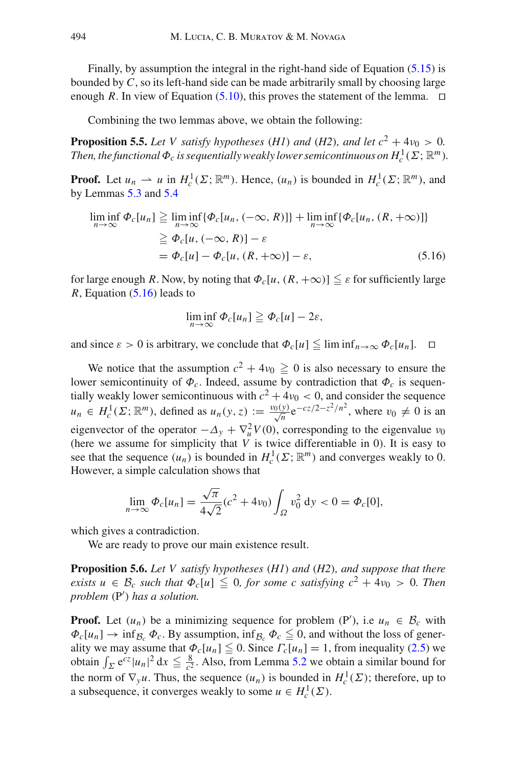Finally, by assumption the integral in the right-hand side of Equation [\(5.15\)](#page-18-1) is bounded by *C*, so its left-hand side can be made arbitrarily small by choosing large enough R. In view of Equation  $(5.10)$ , this proves the statement of the lemma.  $\Box$ 

<span id="page-19-0"></span>Combining the two lemmas above, we obtain the following:

**Proposition 5.5.** *Let V satisfy hypotheses* (*H1*) *and* (*H2*)*, and let*  $c^2 + 4v_0 > 0$ *. Then, the functional*  $\Phi_c$  *is sequentially weakly lower semicontinuous on*  $H_c^1(\Sigma; \mathbb{R}^m)$ *.* 

<span id="page-19-1"></span>**Proof.** Let  $u_n \rightharpoonup u$  in  $H_c^1(\Sigma; \mathbb{R}^m)$ . Hence,  $(u_n)$  is bounded in  $H_c^1(\Sigma; \mathbb{R}^m)$ , and by Lemmas [5.3](#page-16-2) and [5.4](#page-16-3)

$$
\liminf_{n \to \infty} \Phi_c[u_n] \ge \liminf_{n \to \infty} {\{\Phi_c[u_n, (-\infty, R)]\}} + \liminf_{n \to \infty} {\{\Phi_c[u_n, (R, +\infty)]\}}
$$
  

$$
\ge \Phi_c[u, (-\infty, R)] - \varepsilon
$$
  

$$
= \Phi_c[u] - \Phi_c[u, (R, +\infty)] - \varepsilon,
$$
 (5.16)

for large enough *R*. Now, by noting that  $\Phi_c[u, (R, +\infty)] \leq \varepsilon$  for sufficiently large *R*, Equation [\(5.16\)](#page-19-1) leads to

$$
\liminf_{n\to\infty}\Phi_c[u_n]\geqq\Phi_c[u]-2\varepsilon,
$$

and since  $\varepsilon > 0$  is arbitrary, we conclude that  $\Phi_c[u] \leqq \liminf_{n \to \infty} \Phi_c[u_n]$ .  $\Box$ 

We notice that the assumption  $c^2 + 4\nu_0 \ge 0$  is also necessary to ensure the lower semicontinuity of  $\Phi_c$ . Indeed, assume by contradiction that  $\Phi_c$  is sequentially weakly lower semicontinuous with  $c^2 + 4v_0 < 0$ , and consider the sequence  $u_n \in H_c^1(\Sigma; \mathbb{R}^m)$ , defined as  $u_n(y, z) := \frac{v_0(y)}{\sqrt{n}} e^{-cz/2-z^2/n^2}$ , where  $v_0 \neq 0$  is an eigenvector of the operator  $-\Delta_y + \nabla_u^2 V(0)$ , corresponding to the eigenvalue  $v_0$ (here we assume for simplicity that  $\hat{V}$  is twice differentiable in 0). It is easy to see that the sequence  $(u_n)$  is bounded in  $H_c^1(\Sigma; \mathbb{R}^m)$  and converges weakly to 0. However, a simple calculation shows that

$$
\lim_{n \to \infty} \Phi_c[u_n] = \frac{\sqrt{\pi}}{4\sqrt{2}} (c^2 + 4v_0) \int_{\Omega} v_0^2 \, dy < 0 = \Phi_c[0],
$$

which gives a contradiction.

We are ready to prove our main existence result.

**Proposition 5.6.** *Let V satisfy hypotheses* (*H1*) *and* (*H2*)*, and suppose that there exists*  $u \in \mathcal{B}_c$  *such that*  $\Phi_c[u] \leq 0$ *, for some c satisfying*  $c^2 + 4v_0 > 0$ *. Then problem* (P ) *has a solution.*

**Proof.** Let  $(u_n)$  be a minimizing sequence for problem  $(P')$ , i.e  $u_n \in \mathcal{B}_c$  with  $\Phi_c[u_n] \to \inf_{\mathcal{B}_c} \Phi_c$ . By assumption,  $\inf_{\mathcal{B}_c} \Phi_c \leq 0$ , and without the loss of generality we may assume that  $\Phi_c[u_n] \leq 0$ . Since  $\Gamma_c[u_n] = 1$ , from inequality [\(2.5\)](#page-5-2) we obtain  $\int_{\Sigma} e^{cz} |u_n|^2 dx \leq \frac{8}{c^2}$ . Also, from Lemma [5.2](#page-16-0) we obtain a similar bound for the norm of  $\nabla_y u$ . Thus, the sequence  $(u_n)$  is bounded in  $H_c^1(\Sigma)$ ; therefore, up to a subsequence, it converges weakly to some  $u \in H_c^1(\Sigma)$ .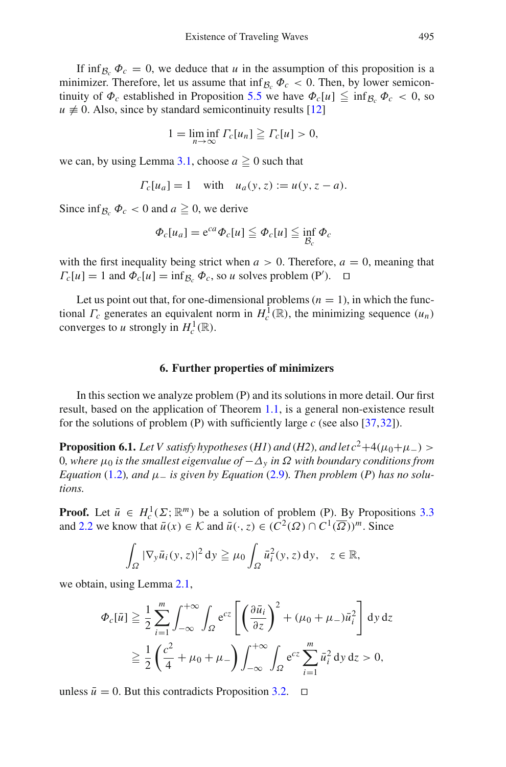If inf<sub>B<sup>*c*</sup></sub>  $\Phi_c = 0$ , we deduce that *u* in the assumption of this proposition is a minimizer. Therefore, let us assume that  $\inf_{\mathcal{B}_c} \Phi_c < 0$ . Then, by lower semicontinuity of  $\Phi_c$  established in Proposition [5.5](#page-19-0) we have  $\Phi_c[u] \leqq \inf_{\mathcal{B}_c} \Phi_c < 0$ , so  $u \neq 0$ . Also, since by standard semicontinuity results [\[12\]](#page-32-24)

$$
1 = \liminf_{n \to \infty} \Gamma_c[u_n] \geq \Gamma_c[u] > 0,
$$

we can, by using Lemma [3.1,](#page-8-1) choose  $a \geq 0$  such that

$$
\Gamma_c[u_a] = 1
$$
 with  $u_a(y, z) := u(y, z - a)$ .

Since  $\inf_{B_a} \Phi_c < 0$  and  $a \ge 0$ , we derive

$$
\Phi_c[u_a] = e^{ca}\Phi_c[u] \leqq \Phi_c[u] \leqq \inf_{\mathcal{B}_c} \Phi_c
$$

with the first inequality being strict when  $a > 0$ . Therefore,  $a = 0$ , meaning that  $\Gamma_c[u] = 1$  and  $\Phi_c[u] = \inf_{\mathcal{B}_c} \Phi_c$ , so *u* solves problem (P').  $\Box$ 

Let us point out that, for one-dimensional problems  $(n = 1)$ , in which the functional  $\Gamma_c$  generates an equivalent norm in  $H_c^1(\mathbb{R})$ , the minimizing sequence  $(u_n)$ converges to *u* strongly in  $H_c^1(\mathbb{R})$ .

#### **6. Further properties of minimizers**

<span id="page-20-0"></span>In this section we analyze problem (P) and its solutions in more detail. Our first result, based on the application of Theorem [1.1,](#page-2-1) is a general non-existence result for the solutions of problem (P) with sufficiently large *c* (see also [\[37](#page-33-4)[,32](#page-32-13)]).

<span id="page-20-1"></span>**Proposition 6.1.** *Let V satisfy hypotheses* (*H1*) *and* (*H2*)*, and let*  $c^2+4(\mu_0+\mu_-)$  >  $0$ , where  $μ_0$  *is the smallest eigenvalue of*  $-Δ_ν$  *in*  $Ω$  *with boundary conditions from Equation* [\(1.2\)](#page-0-1)*, and*  $\mu$  *\_ is given by Equation* [\(2.9\)](#page-6-2)*. Then problem* (*P*) *has no solutions.*

**Proof.** Let  $\bar{u} \in H_c^1(\Sigma; \mathbb{R}^m)$  be a solution of problem (P). By Propositions [3.3](#page-8-4) and [2.2](#page-5-0) we know that  $\bar{u}(x) \in \mathcal{K}$  and  $\bar{u}(\cdot, z) \in (C^2(\Omega) \cap C^1(\overline{\Omega}))^m$ . Since

$$
\int_{\Omega} |\nabla_y \bar{u}_i(y, z)|^2 dy \geq \mu_0 \int_{\Omega} \bar{u}_i^2(y, z) dy, \quad z \in \mathbb{R},
$$

we obtain, using Lemma [2.1,](#page-5-1)

$$
\Phi_c[\bar{u}] \geq \frac{1}{2} \sum_{i=1}^m \int_{-\infty}^{+\infty} \int_{\Omega} e^{cz} \left[ \left( \frac{\partial \bar{u}_i}{\partial z} \right)^2 + (\mu_0 + \mu_-) \bar{u}_i^2 \right] dy dz
$$
  

$$
\geq \frac{1}{2} \left( \frac{c^2}{4} + \mu_0 + \mu_- \right) \int_{-\infty}^{+\infty} \int_{\Omega} e^{cz} \sum_{i=1}^m \bar{u}_i^2 dy dz > 0,
$$

unless  $\bar{u} = 0$ . But this contradicts Proposition [3.2.](#page-8-2)  $\Box$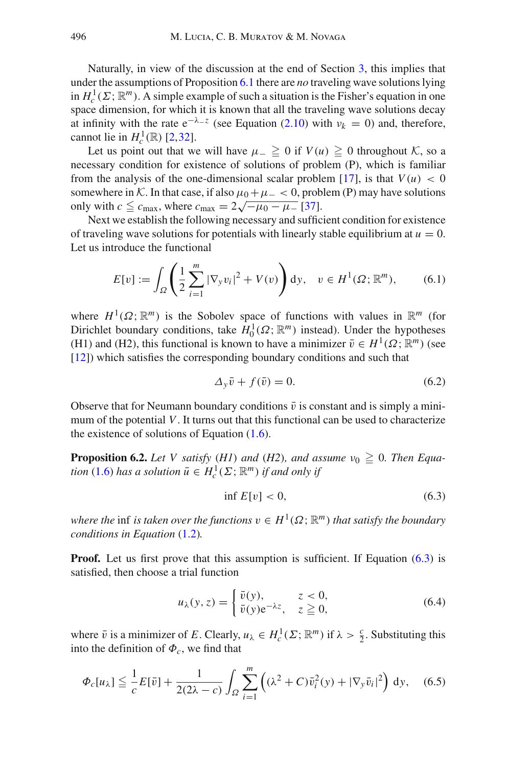Naturally, in view of the discussion at the end of Section [3,](#page-8-0) this implies that under the assumptions of Proposition [6.1](#page-20-1) there are *no* traveling wave solutions lying in  $H_c^1(\Sigma; \mathbb{R}^m)$ . A simple example of such a situation is the Fisher's equation in one space dimension, for which it is known that all the traveling wave solutions decay at infinity with the rate  $e^{-\lambda z}$  (see Equation [\(2.10\)](#page-6-0) with  $v_k = 0$ ) and, therefore, cannot lie in  $H_c^1(\mathbb{R})$  [\[2](#page-31-4)[,32](#page-32-13)].

Let us point out that we will have  $\mu_$  ≥ 0 if *V*(*u*) ≥ 0 throughout *K*, so a necessary condition for existence of solutions of problem (P), which is familiar from the analysis of the one-dimensional scalar problem [\[17](#page-32-11)], is that  $V(u) < 0$ somewhere in *K*. In that case, if also  $\mu_0 + \mu_- < 0$ , problem (P) may have solutions only with  $c \leq c_{\text{max}}$ , where  $c_{\text{max}} = 2\sqrt{-\mu_0 - \mu_-}$  [\[37\]](#page-33-4).

Next we establish the following necessary and sufficient condition for existence of traveling wave solutions for potentials with linearly stable equilibrium at  $u = 0$ . Let us introduce the functional

$$
E[v] := \int_{\Omega} \left( \frac{1}{2} \sum_{i=1}^{m} |\nabla_{y} v_{i}|^{2} + V(v) \right) dy, \quad v \in H^{1}(\Omega; \mathbb{R}^{m}), \tag{6.1}
$$

<span id="page-21-2"></span>where  $H^1(\Omega; \mathbb{R}^m)$  is the Sobolev space of functions with values in  $\mathbb{R}^m$  (for Dirichlet boundary conditions, take  $H_0^1(\Omega; \mathbb{R}^m)$  instead). Under the hypotheses (H1) and (H2), this functional is known to have a minimizer  $\bar{v} \in H^1(\Omega; \mathbb{R}^m)$  (see [\[12\]](#page-32-24)) which satisfies the corresponding boundary conditions and such that

$$
\Delta_y \bar{v} + f(\bar{v}) = 0. \tag{6.2}
$$

Observe that for Neumann boundary conditions  $\bar{v}$  is constant and is simply a minimum of the potential *V*. It turns out that this functional can be used to characterize the existence of solutions of Equation  $(1.6)$ .

<span id="page-21-0"></span>**Proposition 6.2.** *Let V satisfy* (*H1*) *and* (*H2*)*, and assume*  $\nu_0 \geq 0$ *. Then Equation* [\(1.6\)](#page-2-0) *has a solution*  $\bar{u} \in H_c^1(\Sigma; \mathbb{R}^m)$  *if and only if* 

$$
\inf E[v] < 0,\tag{6.3}
$$

<span id="page-21-1"></span>*where the* inf *is taken over the functions*  $v \in H^1(\Omega; \mathbb{R}^m)$  *that satisfy the boundary conditions in Equation* [\(1.2\)](#page-0-1)*.*

**Proof.** Let us first prove that this assumption is sufficient. If Equation [\(6.3\)](#page-21-1) is satisfied, then choose a trial function

$$
u_{\lambda}(y, z) = \begin{cases} \bar{v}(y), & z < 0, \\ \bar{v}(y)e^{-\lambda z}, & z \ge 0, \end{cases}
$$
 (6.4)

where  $\bar{v}$  is a minimizer of *E*. Clearly,  $u_{\lambda} \in H_c^1(\Sigma; \mathbb{R}^m)$  if  $\lambda > \frac{c}{2}$ . Substituting this into the definition of  $\Phi_c$ , we find that

$$
\Phi_c[u_\lambda] \leq \frac{1}{c} E[\bar{v}] + \frac{1}{2(2\lambda - c)} \int_{\Omega} \sum_{i=1}^m \left( (\lambda^2 + C) \bar{v}_i^2(y) + |\nabla_y \bar{v}_i|^2 \right) dy, \quad (6.5)
$$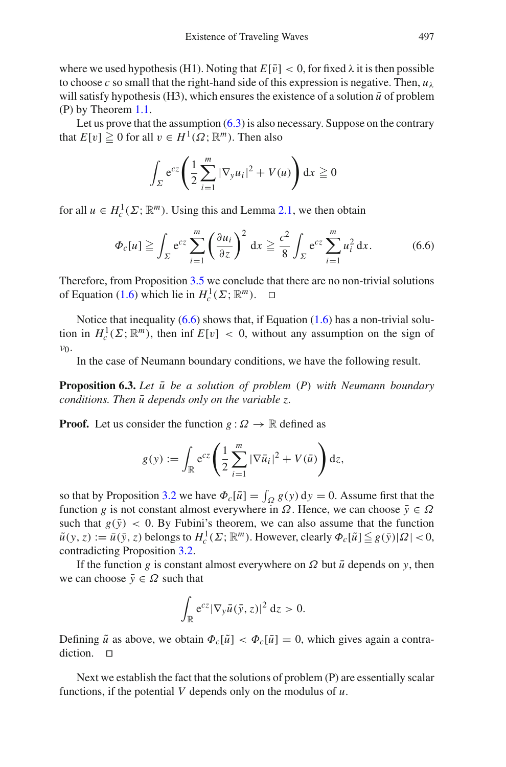where we used hypothesis (H1). Noting that  $E[\bar{v}] < 0$ , for fixed  $\lambda$  it is then possible to choose *c* so small that the right-hand side of this expression is negative. Then,  $u_{\lambda}$ will satisfy hypothesis (H3), which ensures the existence of a solution  $\bar{u}$  of problem (P) by Theorem [1.1.](#page-2-1)

Let us prove that the assumption  $(6.3)$  is also necessary. Suppose on the contrary that  $E[v] \ge 0$  for all  $v \in H^1(\Omega; \mathbb{R}^m)$ . Then also

$$
\int_{\Sigma} e^{cz} \left( \frac{1}{2} \sum_{i=1}^{m} |\nabla_y u_i|^2 + V(u) \right) dx \geqq 0
$$

<span id="page-22-0"></span>for all  $u \in H_c^1(\Sigma; \mathbb{R}^m)$ . Using this and Lemma [2.1,](#page-5-1) we then obtain

$$
\Phi_c[u] \geqq \int_{\Sigma} e^{cz} \sum_{i=1}^m \left(\frac{\partial u_i}{\partial z}\right)^2 dx \geqq \frac{c^2}{8} \int_{\Sigma} e^{cz} \sum_{i=1}^m u_i^2 dx.
$$
 (6.6)

Therefore, from Proposition [3.5](#page-11-0) we conclude that there are no non-trivial solutions of Equation [\(1.6\)](#page-2-0) which lie in  $H_c^1(\Sigma; \mathbb{R}^m)$ .  $\Box$ 

Notice that inequality  $(6.6)$  shows that, if Equation  $(1.6)$  has a non-trivial solution in  $H_c^1(\Sigma; \mathbb{R}^m)$ , then inf  $E[v] < 0$ , without any assumption on the sign of  $ν_0$ .

In the case of Neumann boundary conditions, we have the following result.

<span id="page-22-1"></span>**Proposition 6.3.** Let  $\bar{u}$  be a solution of problem (P) with Neumann boundary *conditions. Then*  $\bar{u}$  *depends only on the variable z.* 

**Proof.** Let us consider the function  $g : \Omega \to \mathbb{R}$  defined as

$$
g(y) := \int_{\mathbb{R}} e^{cz} \left( \frac{1}{2} \sum_{i=1}^{m} |\nabla \bar{u}_i|^2 + V(\bar{u}) \right) dz,
$$

so that by Proposition [3.2](#page-8-2) we have  $\Phi_c[\bar{u}] = \int_{\Omega} g(y) dy = 0$ . Assume first that the function *g* is not constant almost everywhere in  $\Omega$ . Hence, we can choose  $\bar{y} \in \Omega$ such that  $g(\bar{y}) < 0$ . By Fubini's theorem, we can also assume that the function  $\tilde{u}(y, z) := \bar{u}(\bar{y}, z)$  belongs to  $H_c^1(\Sigma; \mathbb{R}^m)$ . However, clearly  $\Phi_c[\tilde{u}] \leqq g(\bar{y})|\Omega| < 0$ , contradicting Proposition [3.2.](#page-8-2)

If the function *g* is constant almost everywhere on  $\Omega$  but  $\bar{u}$  depends on *y*, then we can choose  $\bar{y} \in \Omega$  such that

$$
\int_{\mathbb{R}} e^{cz} |\nabla_y \bar{u}(\bar{y}, z)|^2 dz > 0.
$$

Defining  $\tilde{u}$  as above, we obtain  $\Phi_c[\tilde{u}] < \Phi_c[\bar{u}] = 0$ , which gives again a contradiction.  $\Box$ 

Next we establish the fact that the solutions of problem (P) are essentially scalar functions, if the potential *V* depends only on the modulus of *u*.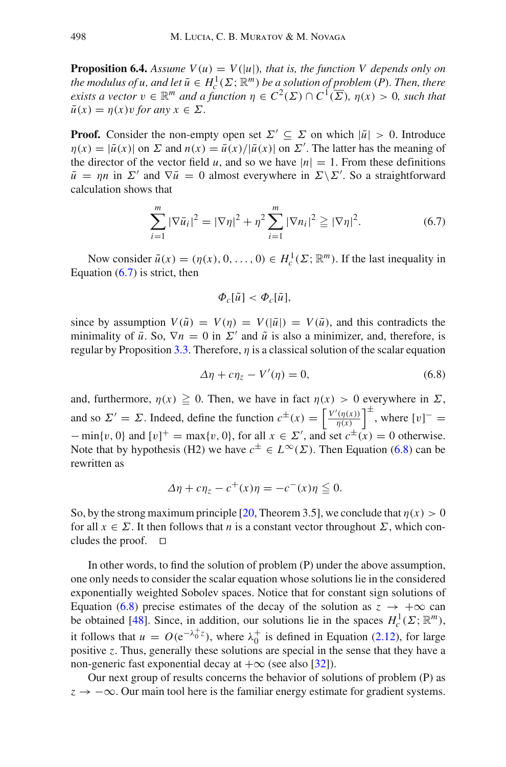**Proposition 6.4.** *Assume V(u)* =  $V(|u|)$ *, that is, the function V depends only on the modulus of u, and let*  $\bar{u} \in H_c^1(\Sigma; \mathbb{R}^m)$  *be a solution of problem* (*P*)*. Then, there exists a vector*  $v \in \mathbb{R}^m$  *and a function*  $\eta \in C^2(\Sigma) \cap C^1(\overline{\Sigma})$ *,*  $\eta(x) > 0$ *, such that*  $\bar{u}(x) = \eta(x)v$  *for any*  $x \in \Sigma$ *.* 

**Proof.** Consider the non-empty open set  $\Sigma' \subseteq \Sigma$  on which  $|\bar{u}| > 0$ . Introduce  $\eta(x) = |\bar{u}(x)|$  on  $\Sigma$  and  $n(x) = \bar{u}(x)/|\bar{u}(x)|$  on  $\Sigma'$ . The latter has the meaning of the director of the vector field *u*, and so we have  $|n| = 1$ . From these definitions  $\bar{u} = \eta n$  in  $\Sigma'$  and  $\nabla \bar{u} = 0$  almost everywhere in  $\Sigma \backslash \Sigma'$ . So a straightforward calculation shows that

$$
\sum_{i=1}^{m} |\nabla \bar{u}_i|^2 = |\nabla \eta|^2 + \eta^2 \sum_{i=1}^{m} |\nabla u_i|^2 \geq |\nabla \eta|^2.
$$
 (6.7)

<span id="page-23-0"></span>Now consider  $\tilde{u}(x) = (\eta(x), 0, \dots, 0) \in H_c^1(\Sigma; \mathbb{R}^m)$ . If the last inequality in Equation  $(6.7)$  is strict, then

$$
\Phi_c[\tilde{u}] < \Phi_c[\bar{u}],
$$

since by assumption  $V(\tilde{u}) = V(\eta) = V(|\bar{u}|) = V(\bar{u})$ , and this contradicts the minimality of  $\bar{u}$ . So,  $\nabla n = 0$  in  $\Sigma'$  and  $\tilde{u}$  is also a minimizer, and, therefore, is regular by Proposition [3.3.](#page-8-4) Therefore,  $\eta$  is a classical solution of the scalar equation

$$
\Delta \eta + c \eta_z - V'(\eta) = 0, \tag{6.8}
$$

<span id="page-23-1"></span>and, furthermore,  $\eta(x) \ge 0$ . Then, we have in fact  $\eta(x) > 0$  everywhere in  $\Sigma$ , and so  $\Sigma' = \Sigma$ . Indeed, define the function  $c^{\pm}(x) = \left[ \frac{V'(\eta(x))}{n(x)} \right]$  $\left(\frac{\eta(x)}{\eta(x)}\right)^{\pm}$ , where  $[v]^{-} =$  $-\min\{v, 0\}$  and  $[v]^+ = \max\{v, 0\}$ , for all  $x \in \Sigma'$ , and set  $c^{\pm}(x) = 0$  otherwise. Note that by hypothesis (H2) we have  $c^{\pm} \in L^{\infty}(\Sigma)$ . Then Equation [\(6.8\)](#page-23-1) can be rewritten as

$$
\Delta \eta + c \eta_z - c^+(x) \eta = -c^-(x) \eta \leq 0.
$$

So, by the strong maximum principle [\[20,](#page-32-21) Theorem 3.5], we conclude that  $\eta(x) > 0$ for all  $x \in \Sigma$ . It then follows that *n* is a constant vector throughout  $\Sigma$ , which concludes the proof.  $\square$ 

In other words, to find the solution of problem (P) under the above assumption, one only needs to consider the scalar equation whose solutions lie in the considered exponentially weighted Sobolev spaces. Notice that for constant sign solutions of Equation [\(6.8\)](#page-23-1) precise estimates of the decay of the solution as  $z \rightarrow +\infty$  can be obtained [\[48](#page-33-16)]. Since, in addition, our solutions lie in the spaces  $H_c^1(\Sigma; \mathbb{R}^m)$ , it follows that  $u = O(e^{-\lambda_0^+ z})$ , where  $\lambda_0^+$  is defined in Equation [\(2.12\)](#page-6-1), for large positive *z*. Thus, generally these solutions are special in the sense that they have a non-generic fast exponential decay at  $+\infty$  (see also [\[32](#page-32-13)]).

<span id="page-23-2"></span>Our next group of results concerns the behavior of solutions of problem (P) as  $z \rightarrow -\infty$ . Our main tool here is the familiar energy estimate for gradient systems.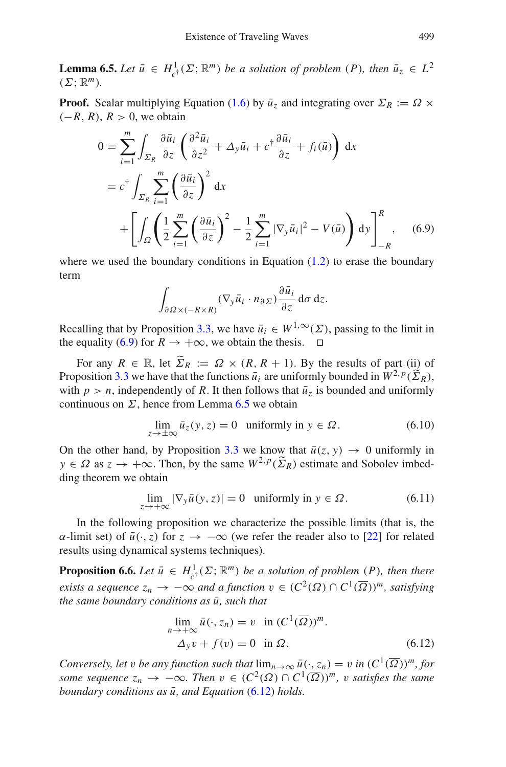**Lemma 6.5.** *Let*  $\bar{u} \in H^1_{c^{\dagger}}(\Sigma; \mathbb{R}^m)$  *be a solution of problem*  $(P)$ *, then*  $\bar{u}_z \in L^2$  $(\Sigma; \mathbb{R}^m)$ .

<span id="page-24-0"></span>**Proof.** Scalar multiplying Equation [\(1.6\)](#page-2-0) by  $\bar{u}_z$  and integrating over  $\Sigma_R := \Omega \times$  $(-R, R), R > 0$ , we obtain

$$
0 = \sum_{i=1}^{m} \int_{\Sigma_R} \frac{\partial \bar{u}_i}{\partial z} \left( \frac{\partial^2 \bar{u}_i}{\partial z^2} + \Delta_y \bar{u}_i + c^{\dagger} \frac{\partial \bar{u}_i}{\partial z} + f_i(\bar{u}) \right) dx
$$
  
\n
$$
= c^{\dagger} \int_{\Sigma_R} \sum_{i=1}^{m} \left( \frac{\partial \bar{u}_i}{\partial z} \right)^2 dx
$$
  
\n
$$
+ \left[ \int_{\Omega} \left( \frac{1}{2} \sum_{i=1}^{m} \left( \frac{\partial \bar{u}_i}{\partial z} \right)^2 - \frac{1}{2} \sum_{i=1}^{m} |\nabla_y \bar{u}_i|^2 - V(\bar{u}) \right) dy \right]_{-R}^{R}, \quad (6.9)
$$

where we used the boundary conditions in Equation  $(1.2)$  to erase the boundary term

$$
\int_{\partial \Omega \times (-R \times R)} (\nabla_y \bar{u}_i \cdot n_{\partial \Sigma}) \frac{\partial \bar{u}_i}{\partial z} d\sigma dz.
$$

Recalling that by Proposition [3.3,](#page-8-4) we have  $\bar{u}_i \in W^{1,\infty}(\Sigma)$ , passing to the limit in the equality [\(6.9\)](#page-24-0) for  $R \to +\infty$ , we obtain the thesis.  $\square$ 

For any  $R \in \mathbb{R}$ , let  $\widetilde{\Sigma}_R := \Omega \times (R, R + 1)$ . By the results of part (ii) of Proposition [3.3](#page-8-4) we have that the functions  $\bar{u}_i$  are uniformly bounded in  $W^{2,p}(\widetilde{\Sigma}_R)$ , with  $p > n$ , independently of *R*. It then follows that  $\bar{u}_z$  is bounded and uniformly continuous on  $\Sigma$ , hence from Lemma [6.5](#page-23-2) we obtain

$$
\lim_{z \to \pm \infty} \bar{u}_z(y, z) = 0 \quad \text{uniformly in } y \in \Omega. \tag{6.10}
$$

<span id="page-24-3"></span>On the other hand, by Proposition [3.3](#page-8-4) we know that  $\bar{u}(z, y) \rightarrow 0$  uniformly in  $y \in \Omega$  as  $z \to +\infty$ . Then, by the same  $W^{2,p}(\widetilde{\Sigma}_R)$  estimate and Sobolev imbedding theorem we obtain

$$
\lim_{z \to +\infty} |\nabla_y \bar{u}(y, z)| = 0 \quad \text{uniformly in } y \in \Omega. \tag{6.11}
$$

<span id="page-24-4"></span>In the following proposition we characterize the possible limits (that is, the  $\alpha$ -limit set) of  $\bar{u}(\cdot, z)$  for *z* → −∞ (we refer the reader also to [\[22\]](#page-32-26) for related results using dynamical systems techniques).

<span id="page-24-2"></span>**Proposition 6.6.** *Let*  $\bar{u} \in H^1_{c^{\dagger}}(\Sigma; \mathbb{R}^m)$  *be a solution of problem* (*P*)*, then there exists a sequence*  $z_n \to -\infty$  *and a function*  $v \in (C^2(\Omega) \cap C^1(\overline{\Omega}))^m$ , *satisfying the same boundary conditions as*  $\bar{u}$ *, such that* 

$$
\lim_{n \to +\infty} \bar{u}(\cdot, z_n) = v \quad \text{in } (C^1(\overline{\Omega}))^m.
$$
  
 
$$
\Delta_y v + f(v) = 0 \quad \text{in } \Omega.
$$
 (6.12)

<span id="page-24-1"></span>*Conversely, let v be any function such that*  $\lim_{n\to\infty} \bar{u}(\cdot, z_n) = v$  *in*  $(C^1(\overline{\Omega}))^m$ *, for some sequence*  $z_n \to -\infty$ *. Then*  $v \in (C^2(\Omega) \cap C^1(\overline{\Omega}))^m$ , v satisfies the same *boundary conditions as*  $\bar{u}$ *, and Equation* [\(6.12\)](#page-24-1) *holds.*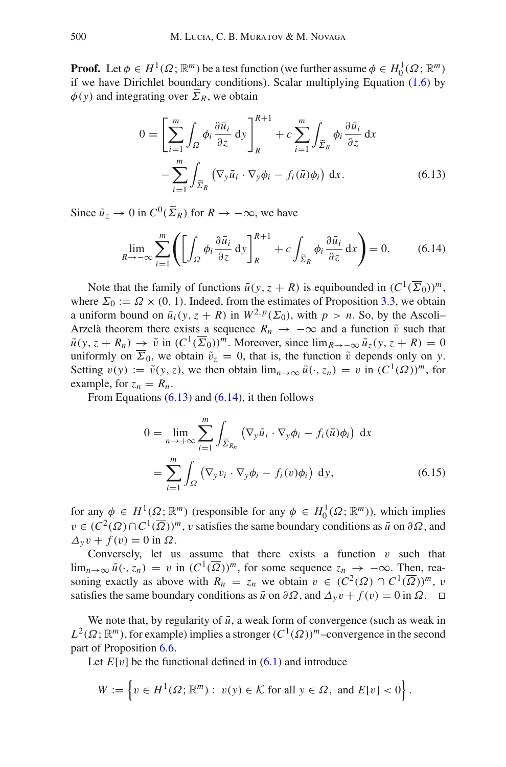<span id="page-25-0"></span>**Proof.** Let  $\phi \in H^1(\Omega; \mathbb{R}^m)$  be a test function (we further assume  $\phi \in H_0^1(\Omega; \mathbb{R}^m)$ if we have Dirichlet boundary conditions). Scalar multiplying Equation [\(1.6\)](#page-2-0) by  $\phi(y)$  and integrating over  $\widetilde{\Sigma}_R$ , we obtain

$$
0 = \left[\sum_{i=1}^{m} \int_{\Omega} \phi_i \frac{\partial \bar{u}_i}{\partial z} dy \right]_{R}^{R+1} + c \sum_{i=1}^{m} \int_{\widetilde{\Sigma}_R} \phi_i \frac{\partial \bar{u}_i}{\partial z} dx
$$

$$
- \sum_{i=1}^{m} \int_{\widetilde{\Sigma}_R} \left(\nabla_y \bar{u}_i \cdot \nabla_y \phi_i - f_i(\bar{u}) \phi_i\right) dx.
$$
(6.13)

<span id="page-25-1"></span>Since  $\bar{u}_z \to 0$  in  $C^0(\widetilde{\Sigma}_R)$  for  $R \to -\infty$ , we have

$$
\lim_{R \to -\infty} \sum_{i=1}^{m} \left( \left[ \int_{\Omega} \phi_i \frac{\partial \bar{u}_i}{\partial z} dy \right]_R^{R+1} + c \int_{\widetilde{\Sigma}_R} \phi_i \frac{\partial \bar{u}_i}{\partial z} dx \right) = 0. \tag{6.14}
$$

Note that the family of functions  $\bar{u}(y, z + R)$  is equibounded in  $(C^1(\overline{\Sigma}_0))^m$ , where  $\Sigma_0 := \Omega \times (0, 1)$ . Indeed, from the estimates of Proposition [3.3,](#page-8-4) we obtain a uniform bound on  $\bar{u}_i(y, z + R)$  in  $W^{2, p}(\Sigma_0)$ , with  $p > n$ . So, by the Ascoli– Arzelà theorem there exists a sequence  $R_n \to -\infty$  and a function  $\tilde{v}$  such that  $\bar{u}(y, z + R_n) \to \tilde{v}$  in  $(C^1(\overline{\Sigma}_0))^m$ . Moreover, since  $\lim_{R\to-\infty} \bar{u}_z(y, z + R) = 0$ uniformly on  $\overline{\Sigma}_0$ , we obtain  $\tilde{v}_z = 0$ , that is, the function  $\tilde{v}$  depends only on *y*. Setting  $v(y) := \tilde{v}(y, z)$ , we then obtain  $\lim_{n \to \infty} \bar{u}(\cdot, z_n) = v$  in  $(C^1(\Omega))^m$ , for example, for  $z_n = R_n$ .

From Equations  $(6.13)$  and  $(6.14)$ , it then follows

$$
0 = \lim_{n \to +\infty} \sum_{i=1}^{m} \int_{\widetilde{\Sigma}_{R_n}} (\nabla_y \bar{u}_i \cdot \nabla_y \phi_i - f_i(\bar{u}) \phi_i) dx
$$
  
= 
$$
\sum_{i=1}^{m} \int_{\Omega} (\nabla_y v_i \cdot \nabla_y \phi_i - f_i(v) \phi_i) dy,
$$
 (6.15)

for any  $\phi \in H^1(\Omega; \mathbb{R}^m)$  (responsible for any  $\phi \in H_0^1(\Omega; \mathbb{R}^m)$ ), which implies  $v \in (C^2(\Omega) \cap C^1(\overline{\Omega}))^m$ , v satisfies the same boundary conditions as  $\overline{u}$  on  $\partial \Omega$ , and  $\Delta_y v + f(v) = 0$  in  $\Omega$ .

Conversely, let us assume that there exists a function  $v$  such that  $\lim_{n\to\infty} \bar{u}(\cdot, z_n) = v$  in  $(C^1(\overline{\Omega}))^m$ , for some sequence  $z_n \to -\infty$ . Then, reasoning exactly as above with  $R_n = z_n$  we obtain  $v \in (C^2(\Omega) \cap C^1(\overline{\Omega}))^m$ , v satisfies the same boundary conditions as  $\bar{u}$  on ∂Ω, and  $\Delta_y v + f(v) = 0$  in Ω. □

We note that, by regularity of  $\bar{u}$ , a weak form of convergence (such as weak in  $L^2(\Omega; \mathbb{R}^m)$ , for example) implies a stronger  $(C^1(\Omega))^m$ –convergence in the second part of Proposition [6.6.](#page-24-2)

Let  $E[v]$  be the functional defined in  $(6.1)$  and introduce

$$
W := \left\{ v \in H^1(\Omega; \mathbb{R}^m) : v(y) \in \mathcal{K} \text{ for all } y \in \Omega, \text{ and } E[v] < 0 \right\}.
$$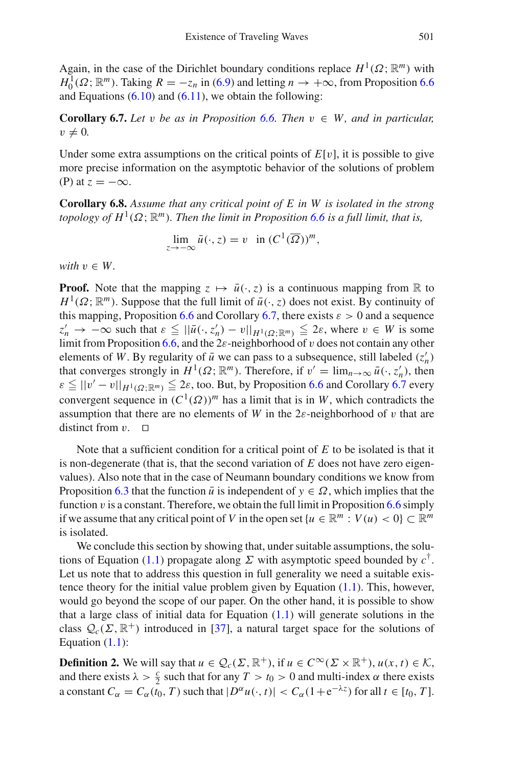Again, in the case of the Dirichlet boundary conditions replace  $H^1(\Omega; \mathbb{R}^m)$  with  $H_0^1(\Omega; \mathbb{R}^m)$ . Taking  $R = -z_n$  in [\(6.9\)](#page-24-0) and letting  $n \to +\infty$ , from Proposition [6.6](#page-24-2) and Equations  $(6.10)$  and  $(6.11)$ , we obtain the following:

<span id="page-26-0"></span>**Corollary 6.7.** *Let* v *be as in Proposition* [6.6.](#page-24-2) *Then*  $v \in W$ , *and in particular,*  $v \neq 0$ .

Under some extra assumptions on the critical points of  $E[v]$ , it is possible to give more precise information on the asymptotic behavior of the solutions of problem (P) at  $z = -\infty$ .

<span id="page-26-1"></span>**Corollary 6.8.** *Assume that any critical point of E in W is isolated in the strong topology of H*<sup>1</sup>( $\Omega$ ;  $\mathbb{R}^m$ ). Then the limit in Proposition [6.6](#page-24-2) is a full limit, that is,

$$
\lim_{z \to -\infty} \bar{u}(\cdot, z) = v \quad \text{in } (C^1(\overline{\Omega}))^m,
$$

*with*  $v \in W$ .

**Proof.** Note that the mapping  $z \mapsto \bar{u}(\cdot, z)$  is a continuous mapping from R to  $H^1(\Omega; \mathbb{R}^m)$ . Suppose that the full limit of  $\bar{u}(\cdot, z)$  does not exist. By continuity of this mapping, Proposition [6.6](#page-24-2) and Corollary [6.7,](#page-26-0) there exists  $\varepsilon > 0$  and a sequence  $z'_n \to -\infty$  such that  $\varepsilon \leq ||\bar{u}(\cdot, z'_n) - v||_{H^1(\Omega; \mathbb{R}^m)} \leq 2\varepsilon$ , where  $v \in W$  is some limit from Proposition [6.6,](#page-24-2) and the  $2\varepsilon$ -neighborhood of v does not contain any other elements of *W*. By regularity of  $\bar{u}$  we can pass to a subsequence, still labeled  $(z'_n)$ that converges strongly in  $H^1(\Omega; \mathbb{R}^m)$ . Therefore, if  $v' = \lim_{n \to \infty} \bar{u}(\cdot, z'_n)$ , then  $\varepsilon \le ||v' - v||_{H^1(\Omega; \mathbb{R}^m)} \le 2\varepsilon$ , too. But, by Proposition [6.6](#page-24-2) and Corollary [6.7](#page-26-0) every convergent sequence in  $(C^1(\Omega))^m$  has a limit that is in *W*, which contradicts the assumption that there are no elements of *W* in the  $2\varepsilon$ -neighborhood of *v* that are distinct from  $v$ .  $\Box$ 

Note that a sufficient condition for a critical point of *E* to be isolated is that it is non-degenerate (that is, that the second variation of *E* does not have zero eigenvalues). Also note that in the case of Neumann boundary conditions we know from Proposition [6.3](#page-22-1) that the function  $\bar{u}$  is independent of  $y \in \Omega$ , which implies that the function  $v$  is a constant. Therefore, we obtain the full limit in Proposition [6.6](#page-24-2) simply if we assume that any critical point of *V* in the open set  $\{u \in \mathbb{R}^m : V(u) < 0\} \subset \mathbb{R}^m$ is isolated.

We conclude this section by showing that, under suitable assumptions, the solu-tions of Equation [\(1.1\)](#page-0-0) propagate along  $\Sigma$  with asymptotic speed bounded by  $c^{\dagger}$ . Let us note that to address this question in full generality we need a suitable existence theory for the initial value problem given by Equation [\(1.1\)](#page-0-0). This, however, would go beyond the scope of our paper. On the other hand, it is possible to show that a large class of initial data for Equation  $(1.1)$  will generate solutions in the class  $\mathcal{Q}_c(\Sigma, \mathbb{R}^+)$  introduced in [\[37](#page-33-4)], a natural target space for the solutions of Equation  $(1.1)$ :

**Definition 2.** We will say that  $u \in \mathcal{Q}_c(\Sigma, \mathbb{R}^+),$  if  $u \in C^\infty(\Sigma \times \mathbb{R}^+), u(x, t) \in \mathcal{K}$ , and there exists  $\lambda > \frac{c}{2}$  such that for any  $T > t_0 > 0$  and multi-index  $\alpha$  there exists a constant  $C_\alpha = C_\alpha(t_0, T)$  such that  $|D^\alpha u(\cdot, t)| < C_\alpha(1 + e^{-\lambda z})$  for all  $t \in [t_0, T]$ .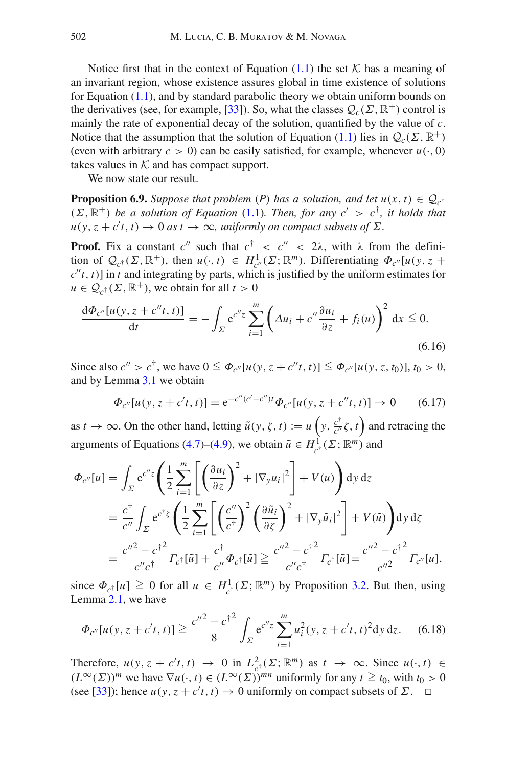Notice first that in the context of Equation  $(1.1)$  the set  $K$  has a meaning of an invariant region, whose existence assures global in time existence of solutions for Equation [\(1.1\)](#page-0-0), and by standard parabolic theory we obtain uniform bounds on the derivatives (see, for example, [\[33\]](#page-32-22)). So, what the classes  $Q_c(\Sigma, \mathbb{R}^+)$  control is mainly the rate of exponential decay of the solution, quantified by the value of *c*. Notice that the assumption that the solution of Equation [\(1.1\)](#page-0-0) lies in  $Q_c(\Sigma, \mathbb{R}^+)$ (even with arbitrary  $c > 0$ ) can be easily satisfied, for example, whenever  $u(\cdot, 0)$ takes values in  $K$  and has compact support.

We now state our result.

<span id="page-27-0"></span>**Proposition 6.9.** *Suppose that problem* (*P*) *has a solution, and let*  $u(x, t) \in Q_c$ <sup>†</sup>  $(\Sigma, \mathbb{R}^+)$  *be a solution of Equation* [\(1.1\)](#page-0-0)*. Then, for any c'* >  $c^{\dagger}$ *, it holds that*  $u(y, z + c't, t) \rightarrow 0$  *as*  $t \rightarrow \infty$ *, uniformly on compact subsets of*  $\Sigma$ *.* 

**Proof.** Fix a constant  $c''$  such that  $c^{\dagger} < c'' < 2\lambda$ , with  $\lambda$  from the definition of  $\mathcal{Q}_{c^{\dagger}}(\Sigma, \mathbb{R}^+)$ , then  $u(\cdot, t) \in H^1_{c''}(\Sigma; \mathbb{R}^m)$ . Differentiating  $\Phi_{c''}[u(y, z + y)]$  $c''t$ , *t*)] in *t* and integrating by parts, which is justified by the uniform estimates for  $u \in \mathcal{Q}_{c^{\dagger}}(\Sigma, \mathbb{R}^+)$ , we obtain for all  $t > 0$ 

$$
\frac{\mathrm{d}\Phi_{c''}[u(y,z+c''t,t)]}{\mathrm{d}t} = -\int_{\Sigma} \mathrm{e}^{c''z} \sum_{i=1}^{m} \left(\Delta u_i + c'' \frac{\partial u_i}{\partial z} + f_i(u)\right)^2 \mathrm{d}x \leq 0. \tag{6.16}
$$

Since also  $c'' > c^{\dagger}$ , we have  $0 \leq \Phi_{c''}[u(y, z + c''t, t)] \leq \Phi_{c''}[u(y, z, t_0)]$ ,  $t_0 > 0$ , and by Lemma [3.1](#page-8-1) we obtain

$$
\Phi_{c''}[u(y, z + c't, t)] = e^{-c''(c' - c'')t} \Phi_{c''}[u(y, z + c''t, t)] \to 0 \quad (6.17)
$$

as  $t \to \infty$ . On the other hand, letting  $\tilde{u}(y, \zeta, t) := u\left(y, \frac{c^{\dagger}}{c''}, \zeta, t\right)$  and retracing the arguments of Equations [\(4.7\)](#page-14-3)–[\(4.9\)](#page-14-3), we obtain  $\tilde{u} \in H^1_{c^{\dagger}}(\Sigma; \mathbb{R}^m)$  and

$$
\Phi_{c''}[u] = \int_{\Sigma} e^{c''z} \left( \frac{1}{2} \sum_{i=1}^{m} \left[ \left( \frac{\partial u_i}{\partial z} \right)^2 + |\nabla_y u_i|^2 \right] + V(u) \right) dy dz
$$
  
\n
$$
= \frac{c^{\dagger}}{c''} \int_{\Sigma} e^{c^{\dagger}z} \left( \frac{1}{2} \sum_{i=1}^{m} \left[ \left( \frac{c''}{c^{\dagger}} \right)^2 \left( \frac{\partial \tilde{u}_i}{\partial \zeta} \right)^2 + |\nabla_y \tilde{u}_i|^2 \right] + V(\tilde{u}) \right) dy dz
$$
  
\n
$$
= \frac{c''^2 - c^{\dagger^2}}{c''c^{\dagger}} \Gamma_{c^{\dagger}}[\tilde{u}] + \frac{c^{\dagger}}{c''} \Phi_{c^{\dagger}}[\tilde{u}] \geq \frac{c''^2 - c^{\dagger^2}}{c''c^{\dagger}} \Gamma_{c^{\dagger}}[\tilde{u}] = \frac{c''^2 - c^{\dagger^2}}{c''^2} \Gamma_{c''}[u],
$$

since  $\Phi_{c^{\dagger}}[u] \ge 0$  for all  $u \in H^1_{c^{\dagger}}(\Sigma; \mathbb{R}^m)$  by Proposition [3.2.](#page-8-2) But then, using Lemma [2.1,](#page-5-1) we have

$$
\Phi_{c''}[u(y, z + c't, t)] \ge \frac{c''^2 - c^{\dagger^2}}{8} \int_{\Sigma} e^{c''z} \sum_{i=1}^m u_i^2(y, z + c't, t)^2 dy dz.
$$
 (6.18)

Therefore,  $u(y, z + c't, t) \rightarrow 0$  in  $L^2_{c^{\dagger}}(\Sigma; \mathbb{R}^m)$  as  $t \rightarrow \infty$ . Since  $u(\cdot, t) \in$  $(L^{\infty}(\Sigma))^{m}$  we have  $\nabla u(\cdot, t) \in (L^{\infty}(\Sigma))^{mn}$  uniformly for any  $t \geq t_0$ , with  $t_0 > 0$ (see [\[33](#page-32-22)]); hence  $u(y, z + c't, t) \to 0$  uniformly on compact subsets of  $\Sigma$ .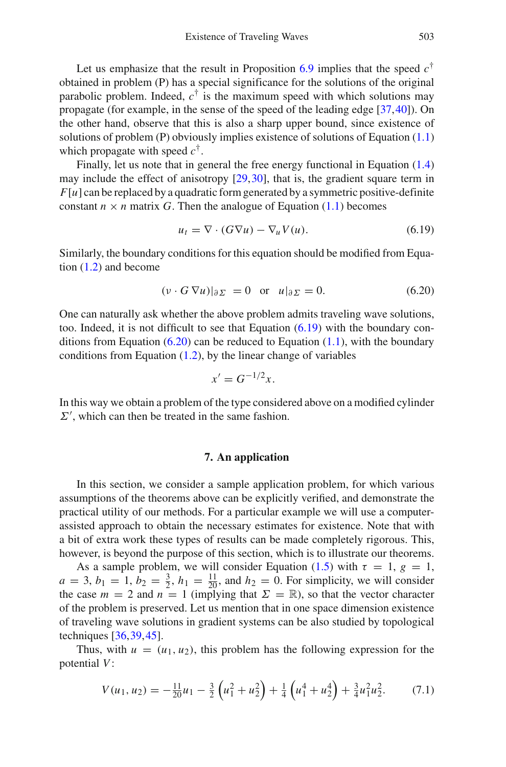Let us emphasize that the result in Proposition  $6.9$  implies that the speed  $c^{\dagger}$ obtained in problem (P) has a special significance for the solutions of the original parabolic problem. Indeed,  $c^{\dagger}$  is the maximum speed with which solutions may propagate (for example, in the sense of the speed of the leading edge [\[37](#page-33-4),[40\]](#page-33-2)). On the other hand, observe that this is also a sharp upper bound, since existence of solutions of problem (P) obviously implies existence of solutions of Equation [\(1.1\)](#page-0-0) which propagate with speed  $c^{\dagger}$ .

Finally, let us note that in general the free energy functional in Equation [\(1.4\)](#page-1-0) may include the effect of anisotropy [\[29](#page-32-0),[30](#page-32-4)], that is, the gradient square term in  $F[u]$  can be replaced by a quadratic form generated by a symmetric positive-definite constant  $n \times n$  matrix G. Then the analogue of Equation [\(1.1\)](#page-0-0) becomes

$$
u_t = \nabla \cdot (G\nabla u) - \nabla_u V(u). \tag{6.19}
$$

<span id="page-28-1"></span>Similarly, the boundary conditions for this equation should be modified from Equation [\(1.2\)](#page-0-1) and become

$$
(\nu \cdot G \nabla u)|_{\partial \Sigma} = 0 \quad \text{or} \quad u|_{\partial \Sigma} = 0. \tag{6.20}
$$

<span id="page-28-2"></span>One can naturally ask whether the above problem admits traveling wave solutions, too. Indeed, it is not difficult to see that Equation [\(6.19\)](#page-28-1) with the boundary conditions from Equation  $(6.20)$  can be reduced to Equation  $(1.1)$ , with the boundary conditions from Equation [\(1.2\)](#page-0-1), by the linear change of variables

$$
x' = G^{-1/2}x.
$$

<span id="page-28-0"></span>In this way we obtain a problem of the type considered above on a modified cylinder  $\Sigma'$ , which can then be treated in the same fashion.

## **7. An application**

In this section, we consider a sample application problem, for which various assumptions of the theorems above can be explicitly verified, and demonstrate the practical utility of our methods. For a particular example we will use a computerassisted approach to obtain the necessary estimates for existence. Note that with a bit of extra work these types of results can be made completely rigorous. This, however, is beyond the purpose of this section, which is to illustrate our theorems.

As a sample problem, we will consider Equation [\(1.5\)](#page-1-1) with  $\tau = 1$ ,  $g = 1$ ,  $a = 3, b_1 = 1, b_2 = \frac{3}{2}, h_1 = \frac{11}{20}$ , and  $h_2 = 0$ . For simplicity, we will consider the case  $m = 2$  and  $n = 1$  (implying that  $\Sigma = \mathbb{R}$ ), so that the vector character of the problem is preserved. Let us mention that in one space dimension existence of traveling wave solutions in gradient systems can be also studied by topological techniques [\[36](#page-33-9)[,39](#page-33-10)[,45](#page-33-11)].

<span id="page-28-3"></span>Thus, with  $u = (u_1, u_2)$ , this problem has the following expression for the potential *V*:

$$
V(u_1, u_2) = -\frac{11}{20}u_1 - \frac{3}{2}\left(u_1^2 + u_2^2\right) + \frac{1}{4}\left(u_1^4 + u_2^4\right) + \frac{3}{4}u_1^2u_2^2. \tag{7.1}
$$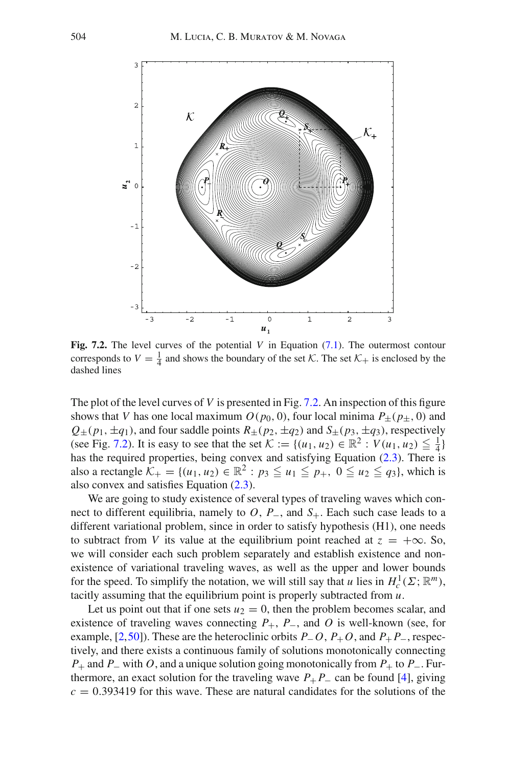

<span id="page-29-0"></span>**Fig. 7.2.** The level curves of the potential *V* in Equation [\(7.1\)](#page-28-3). The outermost contour corresponds to  $V = \frac{1}{4}$  and shows the boundary of the set  $K$ . The set  $K_+$  is enclosed by the dashed lines

The plot of the level curves of *V* is presented in Fig. [7.2.](#page-29-0) An inspection of this figure shows that *V* has one local maximum  $O(p_0, 0)$ , four local minima  $P_{\pm}(p_{\pm}, 0)$  and  $Q_{\pm}(p_1, \pm q_1)$ , and four saddle points  $R_{\pm}(p_2, \pm q_2)$  and  $S_{\pm}(p_3, \pm q_3)$ , respectively (see Fig. [7.2\)](#page-29-0). It is easy to see that the set  $K := \{(u_1, u_2) \in \mathbb{R}^2 : V(u_1, u_2) \leq \frac{1}{4}\}\$ has the required properties, being convex and satisfying Equation [\(2.3\)](#page-4-2). There is also a rectangle  $K_+ = \{(u_1, u_2) \in \mathbb{R}^2 : p_3 \le u_1 \le p_+, 0 \le u_2 \le q_3\}$ , which is also convex and satisfies Equation [\(2.3\)](#page-4-2).

We are going to study existence of several types of traveling waves which connect to different equilibria, namely to *O*, *P*−, and *S*+. Each such case leads to a different variational problem, since in order to satisfy hypothesis (H1), one needs to subtract from *V* its value at the equilibrium point reached at  $z = +\infty$ . So, we will consider each such problem separately and establish existence and nonexistence of variational traveling waves, as well as the upper and lower bounds for the speed. To simplify the notation, we will still say that *u* lies in  $H_c^1(\Sigma; \mathbb{R}^m)$ , tacitly assuming that the equilibrium point is properly subtracted from *u*.

Let us point out that if one sets  $u_2 = 0$ , then the problem becomes scalar, and existence of traveling waves connecting  $P_+$ ,  $P_-$ , and  $O$  is well-known (see, for example, [\[2](#page-31-4)[,50](#page-33-5)]). These are the heteroclinic orbits *P*−*O*, *P*+*O*, and *P*+ *P*−, respectively, and there exists a continuous family of solutions monotonically connecting *P*<sup>+</sup> and *P*<sup>−</sup> with *O*, and a unique solution going monotonically from *P*<sup>+</sup> to *P*<sup>−</sup>. Furthermore, an exact solution for the traveling wave  $P_+ P_-$  can be found [\[4\]](#page-31-5), giving  $c = 0.393419$  for this wave. These are natural candidates for the solutions of the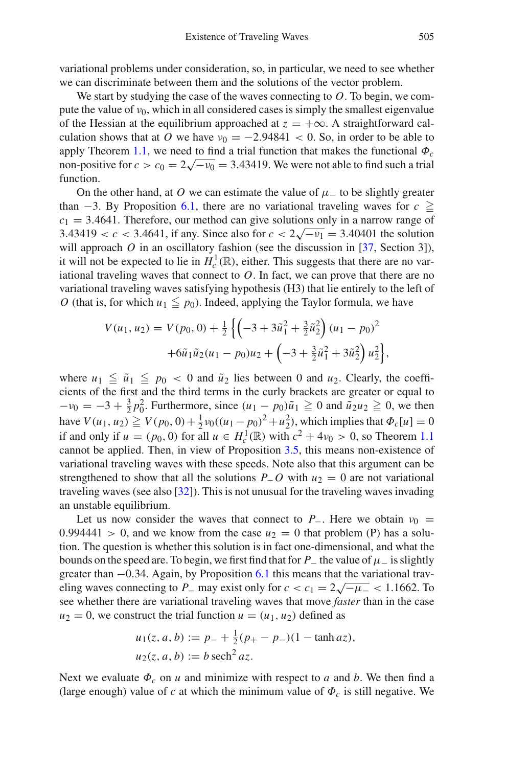variational problems under consideration, so, in particular, we need to see whether we can discriminate between them and the solutions of the vector problem.

We start by studying the case of the waves connecting to *O*. To begin, we compute the value of  $v_0$ , which in all considered cases is simply the smallest eigenvalue of the Hessian at the equilibrium approached at  $z = +\infty$ . A straightforward calculation shows that at *O* we have  $v_0 = -2.94841 < 0.$  So, in order to be able to apply Theorem [1.1,](#page-2-1) we need to find a trial function that makes the functional  $\Phi_c$ non-positive for  $c > c_0 = 2\sqrt{-v_0} = 3.43419$ . We were not able to find such a trial function.

On the other hand, at *O* we can estimate the value of  $\mu$  – to be slightly greater than  $-3$ . By Proposition [6.1,](#page-20-1) there are no variational traveling waves for  $c \geq$  $c_1 = 3.4641$ . Therefore, our method can give solutions only in a narrow range of  $c_1 = 3.4041$ . Therefore, our method can give solutions only in a harrow range of  $3.43419 < c < 3.4641$ , if any. Since also for  $c < 2\sqrt{-v_1} = 3.40401$  the solution will approach  $O$  in an oscillatory fashion (see the discussion in [\[37,](#page-33-4) Section 3]), it will not be expected to lie in  $H_c^1(\mathbb{R})$ , either. This suggests that there are no variational traveling waves that connect to  $O$ . In fact, we can prove that there are no variational traveling waves satisfying hypothesis (H3) that lie entirely to the left of *O* (that is, for which  $u_1 \leq p_0$ ). Indeed, applying the Taylor formula, we have

$$
V(u_1, u_2) = V(p_0, 0) + \frac{1}{2} \left\{ \left( -3 + 3\tilde{u}_1^2 + \frac{3}{2}\tilde{u}_2^2 \right) (u_1 - p_0)^2 + 6\tilde{u}_1 \tilde{u}_2 (u_1 - p_0) u_2 + \left( -3 + \frac{3}{2}\tilde{u}_1^2 + 3\tilde{u}_2^2 \right) u_2^2 \right\},
$$

where  $u_1 \leq \tilde{u}_1 \leq p_0 < 0$  and  $\tilde{u}_2$  lies between 0 and  $u_2$ . Clearly, the coefficients of the first and the third terms in the curly brackets are greater or equal to  $-v_0 = -3 + \frac{3}{2}p_0^2$ . Furthermore, since  $(u_1 - p_0)\tilde{u}_1 \ge 0$  and  $\tilde{u}_2u_2 \ge 0$ , we then have  $V(u_1, u_2) \ge V(p_0, 0) + \frac{1}{2}v_0((u_1 - p_0)^2 + u_2^2)$ , which implies that  $\Phi_c[u] = 0$ if and only if  $u = (p_0, 0)$  for all  $u \in H_c^1(\mathbb{R})$  with  $c^2 + 4v_0 > 0$ , so Theorem [1.1](#page-2-1) cannot be applied. Then, in view of Proposition [3.5,](#page-11-0) this means non-existence of variational traveling waves with these speeds. Note also that this argument can be strengthened to show that all the solutions  $P$ <sup>−</sup>*O* with  $u_2 = 0$  are not variational traveling waves (see also [\[32\]](#page-32-13)). This is not unusual for the traveling waves invading an unstable equilibrium.

Let us now consider the waves that connect to  $P_$ . Here we obtain  $v_0$  =  $0.994441 > 0$ , and we know from the case  $u_2 = 0$  that problem (P) has a solution. The question is whether this solution is in fact one-dimensional, and what the bounds on the speed are. To begin, we first find that for  $P_$  the value of  $\mu$ <sup>−</sup> is slightly greater than  $-0.34$ . Again, by Proposition [6.1](#page-20-1) this means that the variational traveling waves connecting to *P*− may exist only for  $c < c_1 = 2\sqrt{-\mu}$  < 1.1662. To see whether there are variational traveling waves that move *faster* than in the case  $u_2 = 0$ , we construct the trial function  $u = (u_1, u_2)$  defined as

$$
u_1(z, a, b) := p_- + \frac{1}{2}(p_+ - p_-)(1 - \tanh az),
$$
  
\n
$$
u_2(z, a, b) := b \operatorname{sech}^2 az.
$$

Next we evaluate  $\Phi_c$  on *u* and minimize with respect to *a* and *b*. We then find a (large enough) value of  $c$  at which the minimum value of  $\Phi_c$  is still negative. We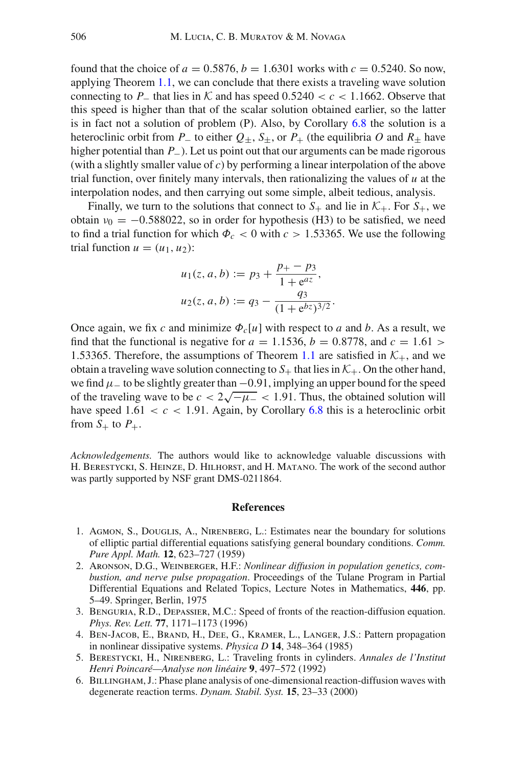found that the choice of  $a = 0.5876$ ,  $b = 1.6301$  works with  $c = 0.5240$ . So now, applying Theorem [1.1,](#page-2-1) we can conclude that there exists a traveling wave solution connecting to *P*<sub>−</sub> that lies in  $K$  and has speed 0.5240 < *c* < 1.1662. Observe that this speed is higher than that of the scalar solution obtained earlier, so the latter is in fact not a solution of problem  $(P)$ . Also, by Corollary [6.8](#page-26-1) the solution is a heteroclinic orbit from *P*<sup>−</sup> to either  $Q_+$ ,  $S_+$ , or  $P_+$  (the equilibria *O* and  $R_+$  have higher potential than *P*−). Let us point out that our arguments can be made rigorous (with a slightly smaller value of *c*) by performing a linear interpolation of the above trial function, over finitely many intervals, then rationalizing the values of  $u$  at the interpolation nodes, and then carrying out some simple, albeit tedious, analysis.

Finally, we turn to the solutions that connect to  $S_+$  and lie in  $K_+$ . For  $S_+$ , we obtain  $v_0 = -0.588022$ , so in order for hypothesis (H3) to be satisfied, we need to find a trial function for which  $\Phi_c < 0$  with  $c > 1.53365$ . We use the following trial function  $u = (u_1, u_2)$ :

$$
u_1(z, a, b) := p_3 + \frac{p_+ - p_3}{1 + e^{az}},
$$
  

$$
u_2(z, a, b) := q_3 - \frac{q_3}{(1 + e^{bz})^{3/2}}.
$$

Once again, we fix c and minimize  $\Phi_c[u]$  with respect to a and b. As a result, we find that the functional is negative for  $a = 1.1536$ ,  $b = 0.8778$ , and  $c = 1.61$ 1.53365. Therefore, the assumptions of Theorem [1.1](#page-2-1) are satisfied in  $K_{+}$ , and we obtain a traveling wave solution connecting to  $S_+$  that lies in  $K_+$ . On the other hand, we find  $\mu$  – to be slightly greater than  $-0.91$ , implying an upper bound for the speed of the traveling wave to be  $c < 2\sqrt{-\mu_{-}} < 1.91$ . Thus, the obtained solution will have speed  $1.61 < c < 1.91$ . Again, by Corollary [6.8](#page-26-1) this is a heteroclinic orbit from  $S_+$  to  $P_+$ .

*Acknowledgements.* The authors would like to acknowledge valuable discussions with H. Berestycki, S. Heinze, D. Hilhorst, and H. Matano. The work of the second author was partly supported by NSF grant DMS-0211864.

## **References**

- <span id="page-31-3"></span>1. Agmon, S., Douglis, A., Nirenberg, L.: Estimates near the boundary for solutions of elliptic partial differential equations satisfying general boundary conditions. *Comm. Pure Appl. Math.* **12**, 623–727 (1959)
- <span id="page-31-4"></span>2. Aronson, D.G., Weinberger, H.F.: *Nonlinear diffusion in population genetics, combustion, and nerve pulse propagation*. Proceedings of the Tulane Program in Partial Differential Equations and Related Topics, Lecture Notes in Mathematics, **446**, pp. 5–49. Springer, Berlin, 1975
- <span id="page-31-2"></span>3. Benguria, R.D., Depassier, M.C.: Speed of fronts of the reaction-diffusion equation. *Phys. Rev. Lett.* **77**, 1171–1173 (1996)
- <span id="page-31-5"></span>4. Ben-Jacob, E., Brand, H., Dee, G., Kramer, L., Langer, J.S.: Pattern propagation in nonlinear dissipative systems. *Physica D* **14**, 348–364 (1985)
- <span id="page-31-0"></span>5. Berestycki, H., Nirenberg, L.: Traveling fronts in cylinders. *Annales de l'Institut Henri Poincaré—Analyse non linéaire* **9**, 497–572 (1992)
- <span id="page-31-1"></span>6. Billingham, J.: Phase plane analysis of one-dimensional reaction-diffusion waves with degenerate reaction terms. *Dynam. Stabil. Syst.* **15**, 23–33 (2000)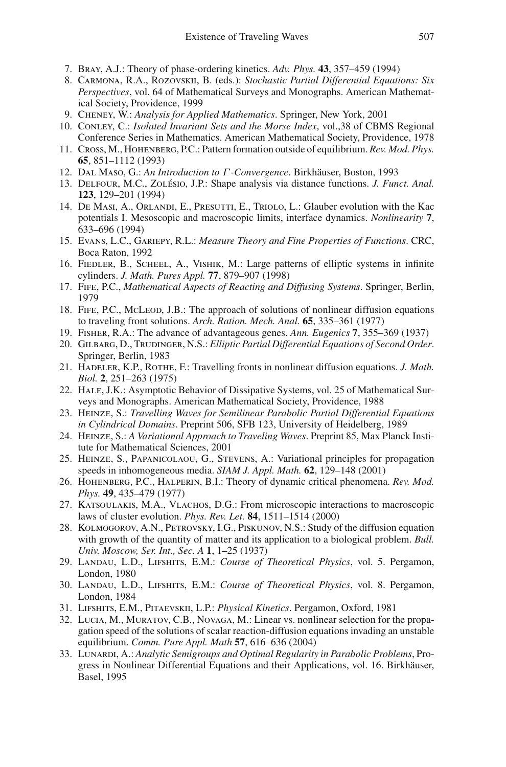- <span id="page-32-1"></span>7. Bray, A.J.: Theory of phase-ordering kinetics. *Adv. Phys.* **43**, 357–459 (1994)
- <span id="page-32-5"></span>8. Carmona, R.A., Rozovskii, B. (eds.): *Stochastic Partial Differential Equations: Six Perspectives*, vol. 64 of Mathematical Surveys and Monographs. American Mathematical Society, Providence, 1999
- 9. Cheney, W.: *Analysis for Applied Mathematics*. Springer, New York, 2001
- <span id="page-32-23"></span><span id="page-32-16"></span>10. Conley, C.: *Isolated Invariant Sets and the Morse Index*, vol.,38 of CBMS Regional Conference Series in Mathematics. American Mathematical Society, Providence, 1978
- <span id="page-32-8"></span>11. Cross, M., Hohenberg, P.C.: Pattern formation outside of equilibrium. *Rev. Mod. Phys.* **65**, 851–1112 (1993)
- <span id="page-32-24"></span>12. Dal Maso, G.: *An Introduction to* Γ *-Convergence*. Birkhäuser, Boston, 1993
- <span id="page-32-17"></span>13. Delfour, M.C., Zolésio, J.P.: Shape analysis via distance functions. *J. Funct. Anal.* **123**, 129–201 (1994)
- <span id="page-32-6"></span>14. De Masi, A., Orlandi, E., Presutti, E., Triolo, L.: Glauber evolution with the Kac potentials I. Mesoscopic and macroscopic limits, interface dynamics. *Nonlinearity* **7**, 633–696 (1994)
- <span id="page-32-25"></span>15. Evans, L.C., Gariepy, R.L.: *Measure Theory and Fine Properties of Functions*. CRC, Boca Raton, 1992
- <span id="page-32-15"></span>16. Fiedler, B., Scheel, A., Vishik, M.: Large patterns of elliptic systems in infinite cylinders. *J. Math. Pures Appl.* **77**, 879–907 (1998)
- <span id="page-32-11"></span>17. Fife, P.C., *Mathematical Aspects of Reacting and Diffusing Systems*. Springer, Berlin, 1979
- <span id="page-32-18"></span>18. FIFE, P.C., McLeop, J.B.: The approach of solutions of nonlinear diffusion equations to traveling front solutions. *Arch. Ration. Mech. Anal.* **65**, 335–361 (1977)
- 19. Fisher, R.A.: The advance of advantageous genes. *Ann. Eugenics* **7**, 355–369 (1937)
- <span id="page-32-21"></span><span id="page-32-9"></span>20. GILBARG, D., TRUDINGER, N.S.: *Elliptic Partial Differential Equations of Second Order*. Springer, Berlin, 1983
- <span id="page-32-19"></span>21. Hadeler, K.P., Rothe, F.: Travelling fronts in nonlinear diffusion equations. *J. Math. Biol.* **2**, 251–263 (1975)
- <span id="page-32-26"></span>22. Hale, J.K.: Asymptotic Behavior of Dissipative Systems, vol. 25 of Mathematical Surveys and Monographs. American Mathematical Society, Providence, 1988
- <span id="page-32-14"></span>23. Heinze, S.: *Travelling Waves for Semilinear Parabolic Partial Differential Equations in Cylindrical Domains*. Preprint 506, SFB 123, University of Heidelberg, 1989
- <span id="page-32-12"></span>24. Heinze, S.: *A Variational Approach to Traveling Waves*. Preprint 85, Max Planck Institute for Mathematical Sciences, 2001
- <span id="page-32-20"></span>25. Heinze, S., Papanicolaou, G., Stevens, A.: Variational principles for propagation speeds in inhomogeneous media. *SIAM J. Appl. Math.* **62**, 129–148 (2001)
- <span id="page-32-2"></span>26. Hohenberg, P.C., Halperin, B.I.: Theory of dynamic critical phenomena. *Rev. Mod. Phys.* **49**, 435–479 (1977)
- <span id="page-32-7"></span>27. Katsoulakis, M.A., Vlachos, D.G.: From microscopic interactions to macroscopic laws of cluster evolution. *Phys. Rev. Let.* **84**, 1511–1514 (2000)
- <span id="page-32-10"></span>28. Kolmogorov, A.N., Petrovsky, I.G., Piskunov, N.S.: Study of the diffusion equation with growth of the quantity of matter and its application to a biological problem. *Bull. Univ. Moscow, Ser. Int., Sec. A* **1**, 1–25 (1937)
- <span id="page-32-0"></span>29. Landau, L.D., Lifshits, E.M.: *Course of Theoretical Physics*, vol. 5. Pergamon, London, 1980
- <span id="page-32-4"></span>30. Landau, L.D., Lifshits, E.M.: *Course of Theoretical Physics*, vol. 8. Pergamon, London, 1984
- <span id="page-32-3"></span>31. Lifshits, E.M., Pitaevskii, L.P.: *Physical Kinetics*. Pergamon, Oxford, 1981
- <span id="page-32-13"></span>32. Lucia, M., Muratov, C.B., Novaga, M.: Linear vs. nonlinear selection for the propagation speed of the solutions of scalar reaction-diffusion equations invading an unstable equilibrium. *Comm. Pure Appl. Math* **57**, 616–636 (2004)
- <span id="page-32-22"></span>33. Lunardi, A.: *Analytic Semigroups and Optimal Regularity in Parabolic Problems*, Progress in Nonlinear Differential Equations and their Applications, vol. 16. Birkhäuser, Basel, 1995